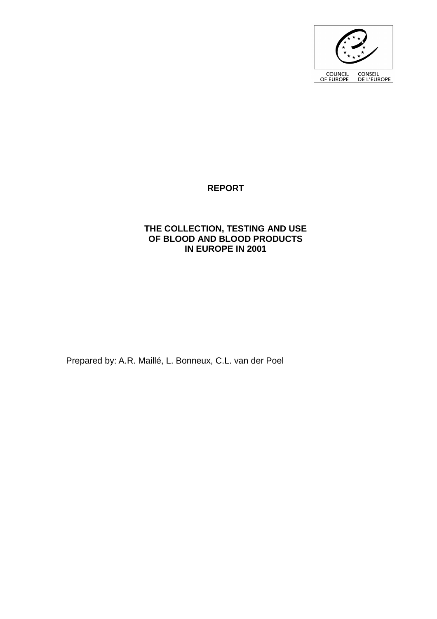

## **REPORT**

### **THE COLLECTION, TESTING AND USE OF BLOOD AND BLOOD PRODUCTS IN EUROPE IN 2001**

Prepared by: A.R. Maillé, L. Bonneux, C.L. van der Poel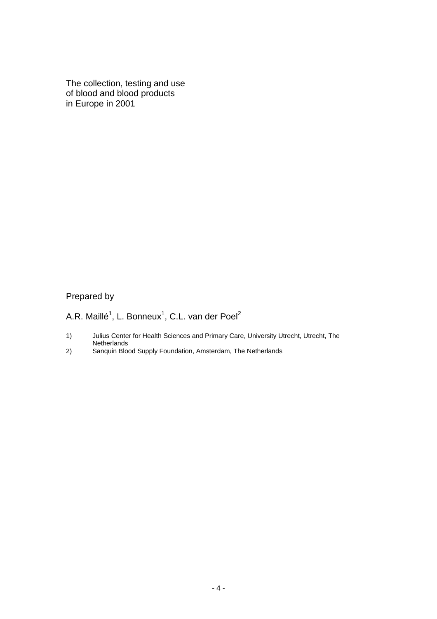The collection, testing and use of blood and blood products in Europe in 2001

# Prepared by

A.R. Maillé<sup>1</sup>, L. Bonneux<sup>1</sup>, C.L. van der Poel<sup>2</sup>

- 1) Julius Center for Health Sciences and Primary Care, University Utrecht, Utrecht, The **Netherlands**
- 2) Sanquin Blood Supply Foundation, Amsterdam, The Netherlands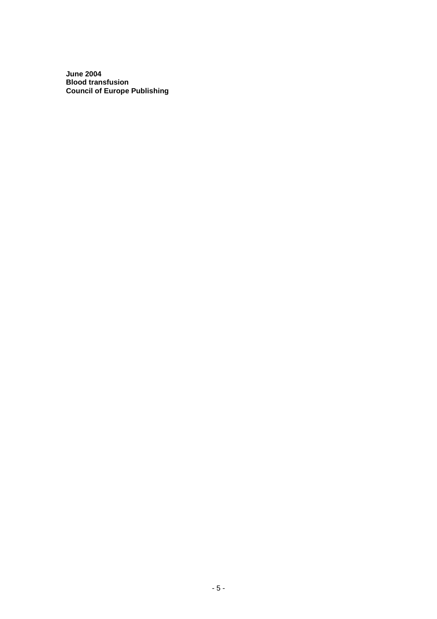**June 2004 Blood transfusion Council of Europe Publishing**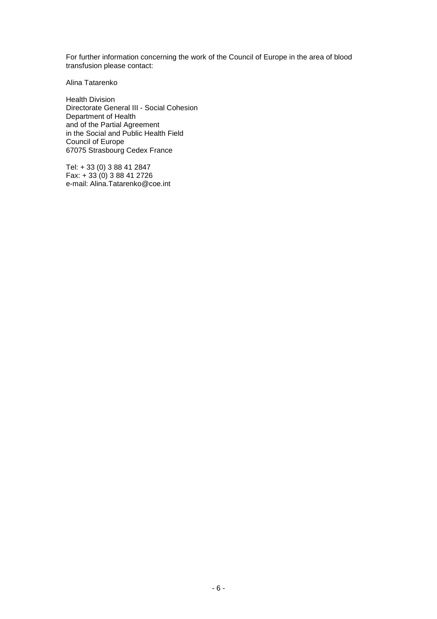For further information concerning the work of the Council of Europe in the area of blood transfusion please contact:

Alina Tatarenko

Health Division Directorate General III - Social Cohesion Department of Health and of the Partial Agreement in the Social and Public Health Field Council of Europe 67075 Strasbourg Cedex France

Tel: + 33 (0) 3 88 41 2847 Fax: + 33 (0) 3 88 41 2726 e-mail: Alina.Tatarenko@coe.int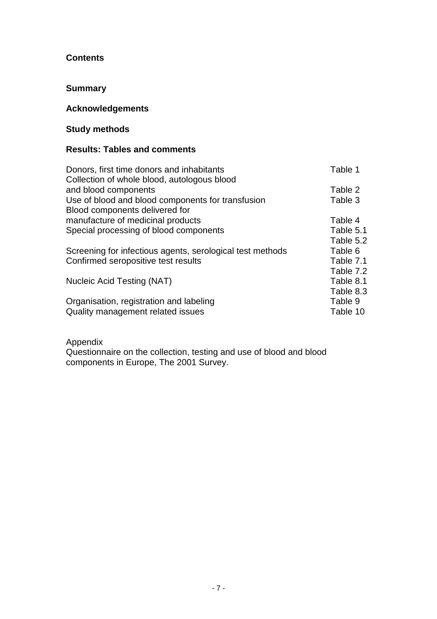### **Contents**

### **Summary**

### **Acknowledgements**

# **Study methods**

### **Results: Tables and comments**

| Donors, first time donors and inhabitants<br>Collection of whole blood, autologous blood | Table 1   |
|------------------------------------------------------------------------------------------|-----------|
| and blood components                                                                     | Table 2   |
| Use of blood and blood components for transfusion<br>Blood components delivered for      | Table 3   |
| manufacture of medicinal products                                                        | Table 4   |
| Special processing of blood components                                                   | Table 5.1 |
|                                                                                          | Table 5.2 |
| Screening for infectious agents, serological test methods                                | Table 6   |
| Confirmed seropositive test results                                                      | Table 7.1 |
|                                                                                          | Table 7.2 |
| Nucleic Acid Testing (NAT)                                                               | Table 8.1 |
|                                                                                          | Table 8.3 |
| Organisation, registration and labeling                                                  | Table 9   |
| Quality management related issues                                                        | Table 10  |

### Appendix

Questionnaire on the collection, testing and use of blood and blood components in Europe, The 2001 Survey.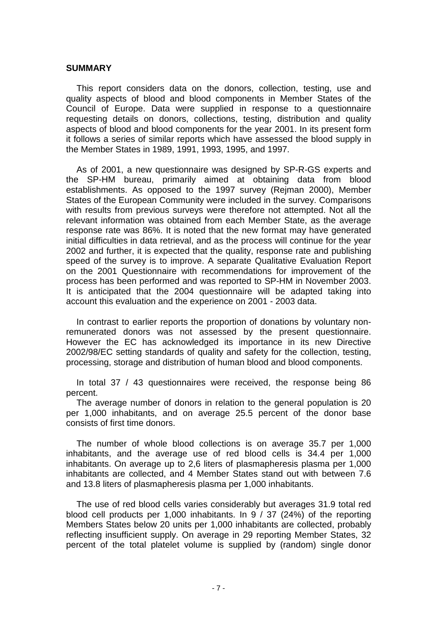### **SUMMARY**

This report considers data on the donors, collection, testing, use and quality aspects of blood and blood components in Member States of the Council of Europe. Data were supplied in response to a questionnaire requesting details on donors, collections, testing, distribution and quality aspects of blood and blood components for the year 2001. In its present form it follows a series of similar reports which have assessed the blood supply in the Member States in 1989, 1991, 1993, 1995, and 1997.

As of 2001, a new questionnaire was designed by SP-R-GS experts and the SP-HM bureau, primarily aimed at obtaining data from blood establishments. As opposed to the 1997 survey (Rejman 2000), Member States of the European Community were included in the survey. Comparisons with results from previous surveys were therefore not attempted. Not all the relevant information was obtained from each Member State, as the average response rate was 86%. It is noted that the new format may have generated initial difficulties in data retrieval, and as the process will continue for the year 2002 and further, it is expected that the quality, response rate and publishing speed of the survey is to improve. A separate Qualitative Evaluation Report on the 2001 Questionnaire with recommendations for improvement of the process has been performed and was reported to SP-HM in November 2003. It is anticipated that the 2004 questionnaire will be adapted taking into account this evaluation and the experience on 2001 - 2003 data.

In contrast to earlier reports the proportion of donations by voluntary nonremunerated donors was not assessed by the present questionnaire. However the EC has acknowledged its importance in its new Directive 2002/98/EC setting standards of quality and safety for the collection, testing, processing, storage and distribution of human blood and blood components.

In total 37 / 43 questionnaires were received, the response being 86 percent.

The average number of donors in relation to the general population is 20 per 1,000 inhabitants, and on average 25.5 percent of the donor base consists of first time donors.

The number of whole blood collections is on average 35.7 per 1,000 inhabitants, and the average use of red blood cells is 34.4 per 1,000 inhabitants. On average up to 2,6 liters of plasmapheresis plasma per 1,000 inhabitants are collected, and 4 Member States stand out with between 7.6 and 13.8 liters of plasmapheresis plasma per 1,000 inhabitants.

The use of red blood cells varies considerably but averages 31.9 total red blood cell products per 1,000 inhabitants. In 9 / 37 (24%) of the reporting Members States below 20 units per 1,000 inhabitants are collected, probably reflecting insufficient supply. On average in 29 reporting Member States, 32 percent of the total platelet volume is supplied by (random) single donor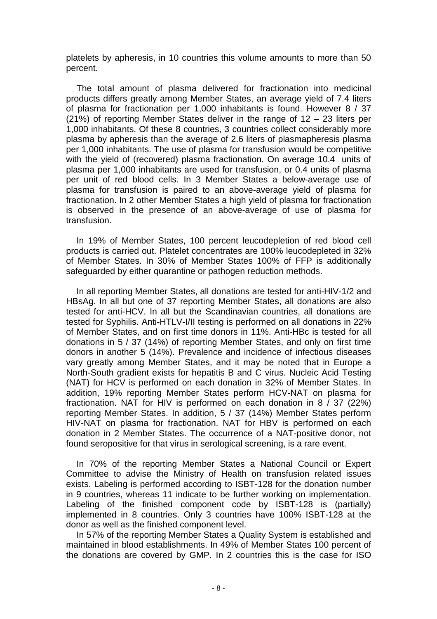platelets by apheresis, in 10 countries this volume amounts to more than 50 percent.

The total amount of plasma delivered for fractionation into medicinal products differs greatly among Member States, an average yield of 7.4 liters of plasma for fractionation per 1,000 inhabitants is found. However 8 / 37 (21%) of reporting Member States deliver in the range of 12 – 23 liters per 1,000 inhabitants. Of these 8 countries, 3 countries collect considerably more plasma by apheresis than the average of 2.6 liters of plasmapheresis plasma per 1,000 inhabitants. The use of plasma for transfusion would be competitive with the yield of (recovered) plasma fractionation. On average 10.4 units of plasma per 1,000 inhabitants are used for transfusion, or 0.4 units of plasma per unit of red blood cells. In 3 Member States a below-average use of plasma for transfusion is paired to an above-average yield of plasma for fractionation. In 2 other Member States a high yield of plasma for fractionation is observed in the presence of an above-average of use of plasma for transfusion.

In 19% of Member States, 100 percent leucodepletion of red blood cell products is carried out. Platelet concentrates are 100% leucodepleted in 32% of Member States. In 30% of Member States 100% of FFP is additionally safeguarded by either quarantine or pathogen reduction methods.

In all reporting Member States, all donations are tested for anti-HIV-1/2 and HBsAg. In all but one of 37 reporting Member States, all donations are also tested for anti-HCV. In all but the Scandinavian countries, all donations are tested for Syphilis. Anti-HTLV-I/II testing is performed on all donations in 22% of Member States, and on first time donors in 11%. Anti-HBc is tested for all donations in 5 / 37 (14%) of reporting Member States, and only on first time donors in another 5 (14%). Prevalence and incidence of infectious diseases vary greatly among Member States, and it may be noted that in Europe a North-South gradient exists for hepatitis B and C virus. Nucleic Acid Testing (NAT) for HCV is performed on each donation in 32% of Member States. In addition, 19% reporting Member States perform HCV-NAT on plasma for fractionation. NAT for HIV is performed on each donation in 8 / 37 (22%) reporting Member States. In addition, 5 / 37 (14%) Member States perform HIV-NAT on plasma for fractionation. NAT for HBV is performed on each donation in 2 Member States. The occurrence of a NAT-positive donor, not found seropositive for that virus in serological screening, is a rare event.

In 70% of the reporting Member States a National Council or Expert Committee to advise the Ministry of Health on transfusion related issues exists. Labeling is performed according to ISBT-128 for the donation number in 9 countries, whereas 11 indicate to be further working on implementation. Labeling of the finished component code by ISBT-128 is (partially) implemented in 8 countries. Only 3 countries have 100% ISBT-128 at the donor as well as the finished component level.

In 57% of the reporting Member States a Quality System is established and maintained in blood establishments. In 49% of Member States 100 percent of the donations are covered by GMP. In 2 countries this is the case for ISO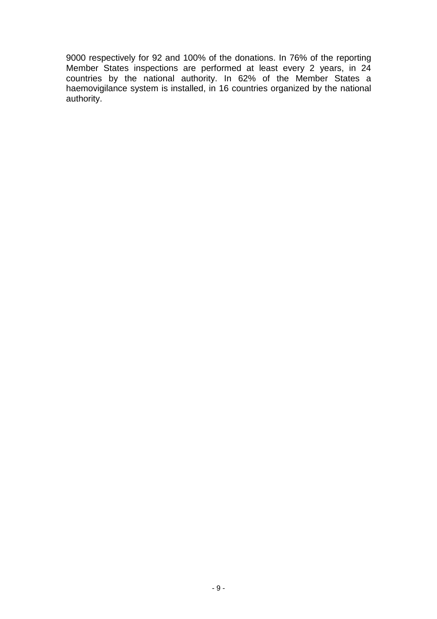9000 respectively for 92 and 100% of the donations. In 76% of the reporting Member States inspections are performed at least every 2 years, in 24 countries by the national authority. In 62% of the Member States a haemovigilance system is installed, in 16 countries organized by the national authority.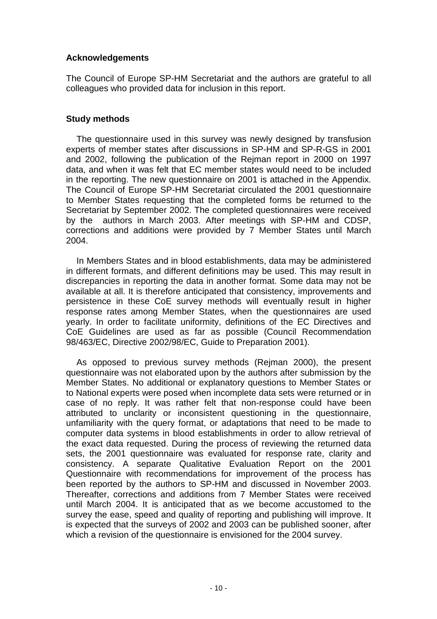### **Acknowledgements**

The Council of Europe SP-HM Secretariat and the authors are grateful to all colleagues who provided data for inclusion in this report.

### **Study methods**

The questionnaire used in this survey was newly designed by transfusion experts of member states after discussions in SP-HM and SP-R-GS in 2001 and 2002, following the publication of the Rejman report in 2000 on 1997 data, and when it was felt that EC member states would need to be included in the reporting. The new questionnaire on 2001 is attached in the Appendix. The Council of Europe SP-HM Secretariat circulated the 2001 questionnaire to Member States requesting that the completed forms be returned to the Secretariat by September 2002. The completed questionnaires were received by the authors in March 2003. After meetings with SP-HM and CDSP, corrections and additions were provided by 7 Member States until March 2004.

In Members States and in blood establishments, data may be administered in different formats, and different definitions may be used. This may result in discrepancies in reporting the data in another format. Some data may not be available at all. It is therefore anticipated that consistency, improvements and persistence in these CoE survey methods will eventually result in higher response rates among Member States, when the questionnaires are used yearly. In order to facilitate uniformity, definitions of the EC Directives and CoE Guidelines are used as far as possible (Council Recommendation 98/463/EC, Directive 2002/98/EC, Guide to Preparation 2001).

As opposed to previous survey methods (Rejman 2000), the present questionnaire was not elaborated upon by the authors after submission by the Member States. No additional or explanatory questions to Member States or to National experts were posed when incomplete data sets were returned or in case of no reply. It was rather felt that non-response could have been attributed to unclarity or inconsistent questioning in the questionnaire, unfamiliarity with the query format, or adaptations that need to be made to computer data systems in blood establishments in order to allow retrieval of the exact data requested. During the process of reviewing the returned data sets, the 2001 questionnaire was evaluated for response rate, clarity and consistency. A separate Qualitative Evaluation Report on the 2001 Questionnaire with recommendations for improvement of the process has been reported by the authors to SP-HM and discussed in November 2003. Thereafter, corrections and additions from 7 Member States were received until March 2004. It is anticipated that as we become accustomed to the survey the ease, speed and quality of reporting and publishing will improve. It is expected that the surveys of 2002 and 2003 can be published sooner, after which a revision of the questionnaire is envisioned for the 2004 survey.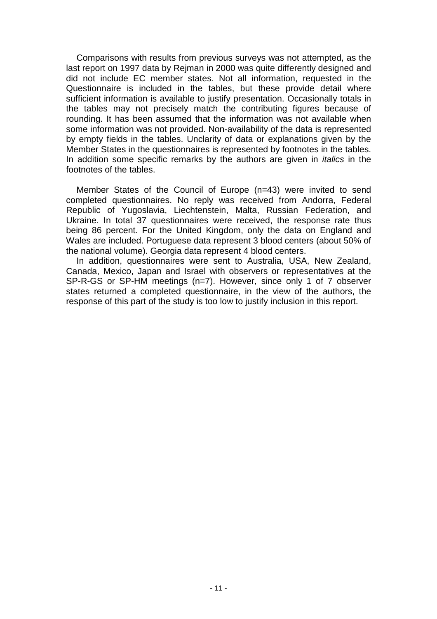Comparisons with results from previous surveys was not attempted, as the last report on 1997 data by Rejman in 2000 was quite differently designed and did not include EC member states. Not all information, requested in the Questionnaire is included in the tables, but these provide detail where sufficient information is available to justify presentation. Occasionally totals in the tables may not precisely match the contributing figures because of rounding. It has been assumed that the information was not available when some information was not provided. Non-availability of the data is represented by empty fields in the tables. Unclarity of data or explanations given by the Member States in the questionnaires is represented by footnotes in the tables. In addition some specific remarks by the authors are given in *italics* in the footnotes of the tables.

Member States of the Council of Europe (n=43) were invited to send completed questionnaires. No reply was received from Andorra, Federal Republic of Yugoslavia, Liechtenstein, Malta, Russian Federation, and Ukraine. In total 37 questionnaires were received, the response rate thus being 86 percent. For the United Kingdom, only the data on England and Wales are included. Portuguese data represent 3 blood centers (about 50% of the national volume). Georgia data represent 4 blood centers.

In addition, questionnaires were sent to Australia, USA, New Zealand, Canada, Mexico, Japan and Israel with observers or representatives at the SP-R-GS or SP-HM meetings (n=7). However, since only 1 of 7 observer states returned a completed questionnaire, in the view of the authors, the response of this part of the study is too low to justify inclusion in this report.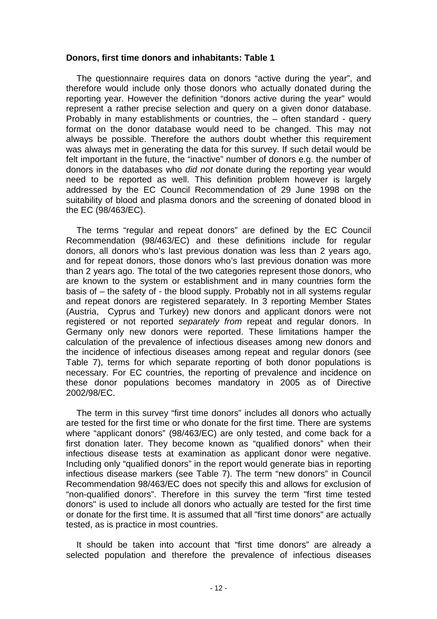### **Donors, first time donors and inhabitants: Table 1**

The questionnaire requires data on donors "active during the year", and therefore would include only those donors who actually donated during the reporting year. However the definition "donors active during the year" would represent a rather precise selection and query on a given donor database. Probably in many establishments or countries, the – often standard - query format on the donor database would need to be changed. This may not always be possible. Therefore the authors doubt whether this requirement was always met in generating the data for this survey. If such detail would be felt important in the future, the "inactive" number of donors e.g. the number of donors in the databases who did not donate during the reporting year would need to be reported as well. This definition problem however is largely addressed by the EC Council Recommendation of 29 June 1998 on the suitability of blood and plasma donors and the screening of donated blood in the EC (98/463/EC).

The terms "regular and repeat donors" are defined by the EC Council Recommendation (98/463/EC) and these definitions include for regular donors, all donors who's last previous donation was less than 2 years ago, and for repeat donors, those donors who's last previous donation was more than 2 years ago. The total of the two categories represent those donors, who are known to the system or establishment and in many countries form the basis of – the safety of - the blood supply. Probably not in all systems regular and repeat donors are registered separately. In 3 reporting Member States (Austria, Cyprus and Turkey) new donors and applicant donors were not registered or not reported separately from repeat and regular donors. In Germany only new donors were reported. These limitations hamper the calculation of the prevalence of infectious diseases among new donors and the incidence of infectious diseases among repeat and regular donors (see Table 7), terms for which separate reporting of both donor populations is necessary. For EC countries, the reporting of prevalence and incidence on these donor populations becomes mandatory in 2005 as of Directive 2002/98/EC.

The term in this survey "first time donors" includes all donors who actually are tested for the first time or who donate for the first time. There are systems where "applicant donors" (98/463/EC) are only tested, and come back for a first donation later. They become known as "qualified donors" when their infectious disease tests at examination as applicant donor were negative. Including only "qualified donors" in the report would generate bias in reporting infectious disease markers (see Table 7). The term "new donors" in Council Recommendation 98/463/EC does not specify this and allows for exclusion of "non-qualified donors". Therefore in this survey the term "first time tested donors" is used to include all donors who actually are tested for the first time or donate for the first time. It is assumed that all "first time donors" are actually tested, as is practice in most countries.

It should be taken into account that "first time donors" are already a selected population and therefore the prevalence of infectious diseases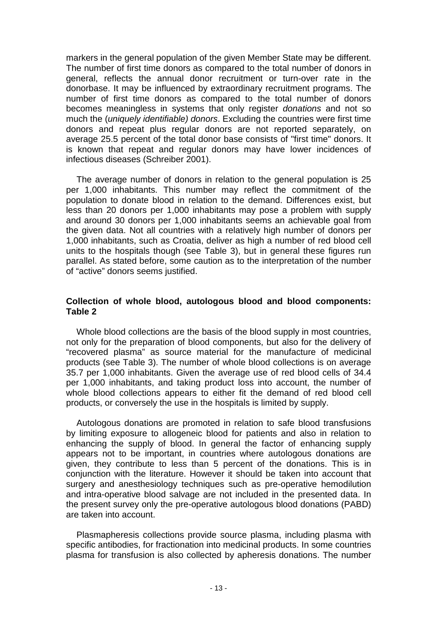markers in the general population of the given Member State may be different. The number of first time donors as compared to the total number of donors in general, reflects the annual donor recruitment or turn-over rate in the donorbase. It may be influenced by extraordinary recruitment programs. The number of first time donors as compared to the total number of donors becomes meaningless in systems that only register donations and not so much the (*uniquely identifiable*) donors. Excluding the countries were first time donors and repeat plus regular donors are not reported separately, on average 25.5 percent of the total donor base consists of "first time" donors. It is known that repeat and regular donors may have lower incidences of infectious diseases (Schreiber 2001).

The average number of donors in relation to the general population is 25 per 1,000 inhabitants. This number may reflect the commitment of the population to donate blood in relation to the demand. Differences exist, but less than 20 donors per 1,000 inhabitants may pose a problem with supply and around 30 donors per 1,000 inhabitants seems an achievable goal from the given data. Not all countries with a relatively high number of donors per 1,000 inhabitants, such as Croatia, deliver as high a number of red blood cell units to the hospitals though (see Table 3), but in general these figures run parallel. As stated before, some caution as to the interpretation of the number of "active" donors seems justified.

### **Collection of whole blood, autologous blood and blood components: Table 2**

Whole blood collections are the basis of the blood supply in most countries, not only for the preparation of blood components, but also for the delivery of "recovered plasma" as source material for the manufacture of medicinal products (see Table 3). The number of whole blood collections is on average 35.7 per 1,000 inhabitants. Given the average use of red blood cells of 34.4 per 1,000 inhabitants, and taking product loss into account, the number of whole blood collections appears to either fit the demand of red blood cell products, or conversely the use in the hospitals is limited by supply.

Autologous donations are promoted in relation to safe blood transfusions by limiting exposure to allogeneic blood for patients and also in relation to enhancing the supply of blood. In general the factor of enhancing supply appears not to be important, in countries where autologous donations are given, they contribute to less than 5 percent of the donations. This is in conjunction with the literature. However it should be taken into account that surgery and anesthesiology techniques such as pre-operative hemodilution and intra-operative blood salvage are not included in the presented data. In the present survey only the pre-operative autologous blood donations (PABD) are taken into account.

Plasmapheresis collections provide source plasma, including plasma with specific antibodies, for fractionation into medicinal products. In some countries plasma for transfusion is also collected by apheresis donations. The number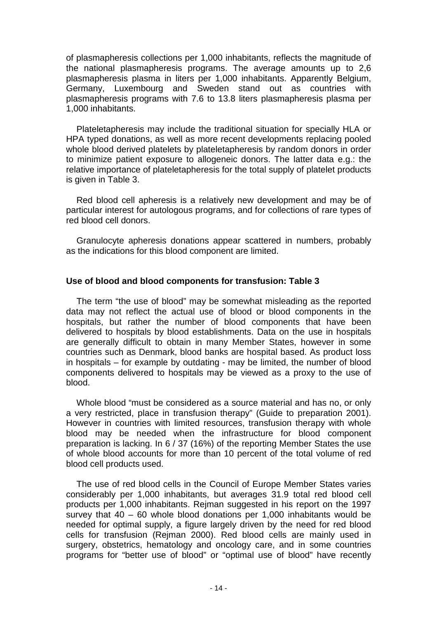of plasmapheresis collections per 1,000 inhabitants, reflects the magnitude of the national plasmapheresis programs. The average amounts up to 2,6 plasmapheresis plasma in liters per 1,000 inhabitants. Apparently Belgium, Germany, Luxembourg and Sweden stand out as countries with plasmapheresis programs with 7.6 to 13.8 liters plasmapheresis plasma per 1,000 inhabitants.

Plateletapheresis may include the traditional situation for specially HLA or HPA typed donations, as well as more recent developments replacing pooled whole blood derived platelets by plateletapheresis by random donors in order to minimize patient exposure to allogeneic donors. The latter data e.g.: the relative importance of plateletapheresis for the total supply of platelet products is given in Table 3.

Red blood cell apheresis is a relatively new development and may be of particular interest for autologous programs, and for collections of rare types of red blood cell donors.

Granulocyte apheresis donations appear scattered in numbers, probably as the indications for this blood component are limited.

### **Use of blood and blood components for transfusion: Table 3**

The term "the use of blood" may be somewhat misleading as the reported data may not reflect the actual use of blood or blood components in the hospitals, but rather the number of blood components that have been delivered to hospitals by blood establishments. Data on the use in hospitals are generally difficult to obtain in many Member States, however in some countries such as Denmark, blood banks are hospital based. As product loss in hospitals – for example by outdating - may be limited, the number of blood components delivered to hospitals may be viewed as a proxy to the use of blood.

Whole blood "must be considered as a source material and has no, or only a very restricted, place in transfusion therapy" (Guide to preparation 2001). However in countries with limited resources, transfusion therapy with whole blood may be needed when the infrastructure for blood component preparation is lacking. In 6 / 37 (16%) of the reporting Member States the use of whole blood accounts for more than 10 percent of the total volume of red blood cell products used.

The use of red blood cells in the Council of Europe Member States varies considerably per 1,000 inhabitants, but averages 31.9 total red blood cell products per 1,000 inhabitants. Rejman suggested in his report on the 1997 survey that 40 – 60 whole blood donations per 1,000 inhabitants would be needed for optimal supply, a figure largely driven by the need for red blood cells for transfusion (Rejman 2000). Red blood cells are mainly used in surgery, obstetrics, hematology and oncology care, and in some countries programs for "better use of blood" or "optimal use of blood" have recently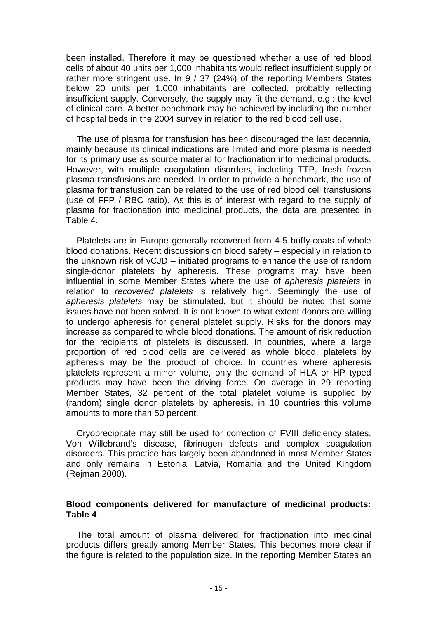been installed. Therefore it may be questioned whether a use of red blood cells of about 40 units per 1,000 inhabitants would reflect insufficient supply or rather more stringent use. In 9 / 37 (24%) of the reporting Members States below 20 units per 1,000 inhabitants are collected, probably reflecting insufficient supply. Conversely, the supply may fit the demand, e.g.: the level of clinical care. A better benchmark may be achieved by including the number of hospital beds in the 2004 survey in relation to the red blood cell use.

The use of plasma for transfusion has been discouraged the last decennia, mainly because its clinical indications are limited and more plasma is needed for its primary use as source material for fractionation into medicinal products. However, with multiple coagulation disorders, including TTP, fresh frozen plasma transfusions are needed. In order to provide a benchmark, the use of plasma for transfusion can be related to the use of red blood cell transfusions (use of FFP / RBC ratio). As this is of interest with regard to the supply of plasma for fractionation into medicinal products, the data are presented in Table 4.

Platelets are in Europe generally recovered from 4-5 buffy-coats of whole blood donations. Recent discussions on blood safety – especially in relation to the unknown risk of vCJD – initiated programs to enhance the use of random single-donor platelets by apheresis. These programs may have been influential in some Member States where the use of apheresis platelets in relation to recovered platelets is relatively high. Seemingly the use of apheresis platelets may be stimulated, but it should be noted that some issues have not been solved. It is not known to what extent donors are willing to undergo apheresis for general platelet supply. Risks for the donors may increase as compared to whole blood donations. The amount of risk reduction for the recipients of platelets is discussed. In countries, where a large proportion of red blood cells are delivered as whole blood, platelets by apheresis may be the product of choice. In countries where apheresis platelets represent a minor volume, only the demand of HLA or HP typed products may have been the driving force. On average in 29 reporting Member States, 32 percent of the total platelet volume is supplied by (random) single donor platelets by apheresis, in 10 countries this volume amounts to more than 50 percent.

Cryoprecipitate may still be used for correction of FVIII deficiency states, Von Willebrand's disease, fibrinogen defects and complex coagulation disorders. This practice has largely been abandoned in most Member States and only remains in Estonia, Latvia, Romania and the United Kingdom (Rejman 2000).

### **Blood components delivered for manufacture of medicinal products: Table 4**

The total amount of plasma delivered for fractionation into medicinal products differs greatly among Member States. This becomes more clear if the figure is related to the population size. In the reporting Member States an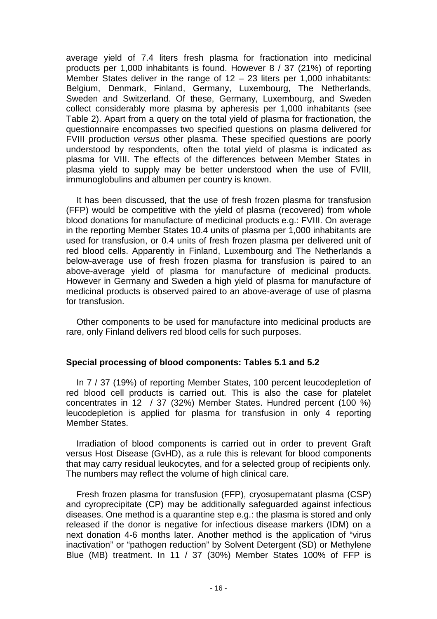average yield of 7.4 liters fresh plasma for fractionation into medicinal products per 1,000 inhabitants is found. However 8 / 37 (21%) of reporting Member States deliver in the range of  $12 - 23$  liters per 1,000 inhabitants: Belgium, Denmark, Finland, Germany, Luxembourg, The Netherlands, Sweden and Switzerland. Of these, Germany, Luxembourg, and Sweden collect considerably more plasma by apheresis per 1,000 inhabitants (see Table 2). Apart from a query on the total yield of plasma for fractionation, the questionnaire encompasses two specified questions on plasma delivered for FVIII production versus other plasma. These specified questions are poorly understood by respondents, often the total yield of plasma is indicated as plasma for VIII. The effects of the differences between Member States in plasma yield to supply may be better understood when the use of FVIII, immunoglobulins and albumen per country is known.

It has been discussed, that the use of fresh frozen plasma for transfusion (FFP) would be competitive with the yield of plasma (recovered) from whole blood donations for manufacture of medicinal products e.g.: FVIII. On average in the reporting Member States 10.4 units of plasma per 1,000 inhabitants are used for transfusion, or 0.4 units of fresh frozen plasma per delivered unit of red blood cells. Apparently in Finland, Luxembourg and The Netherlands a below-average use of fresh frozen plasma for transfusion is paired to an above-average yield of plasma for manufacture of medicinal products. However in Germany and Sweden a high yield of plasma for manufacture of medicinal products is observed paired to an above-average of use of plasma for transfusion.

Other components to be used for manufacture into medicinal products are rare, only Finland delivers red blood cells for such purposes.

### **Special processing of blood components: Tables 5.1 and 5.2**

In 7 / 37 (19%) of reporting Member States, 100 percent leucodepletion of red blood cell products is carried out. This is also the case for platelet concentrates in 12 / 37 (32%) Member States. Hundred percent (100 %) leucodepletion is applied for plasma for transfusion in only 4 reporting Member States.

Irradiation of blood components is carried out in order to prevent Graft versus Host Disease (GvHD), as a rule this is relevant for blood components that may carry residual leukocytes, and for a selected group of recipients only. The numbers may reflect the volume of high clinical care.

Fresh frozen plasma for transfusion (FFP), cryosupernatant plasma (CSP) and cyroprecipitate (CP) may be additionally safeguarded against infectious diseases. One method is a quarantine step e.g.: the plasma is stored and only released if the donor is negative for infectious disease markers (IDM) on a next donation 4-6 months later. Another method is the application of "virus inactivation" or "pathogen reduction" by Solvent Detergent (SD) or Methylene Blue (MB) treatment. In 11 / 37 (30%) Member States 100% of FFP is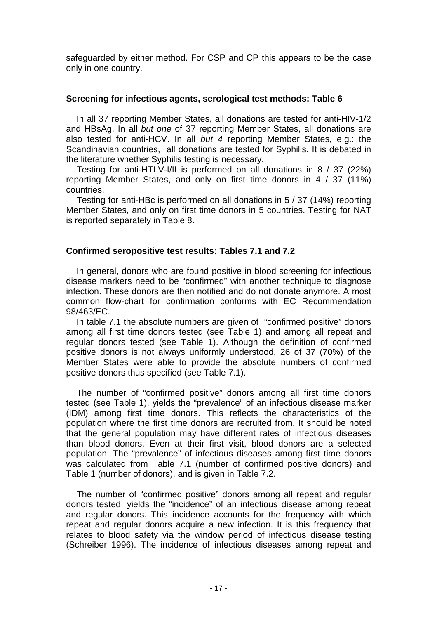safeguarded by either method. For CSP and CP this appears to be the case only in one country.

### **Screening for infectious agents, serological test methods: Table 6**

In all 37 reporting Member States, all donations are tested for anti-HIV-1/2 and HBsAg. In all but one of 37 reporting Member States, all donations are also tested for anti-HCV. In all but 4 reporting Member States, e.g.: the Scandinavian countries, all donations are tested for Syphilis. It is debated in the literature whether Syphilis testing is necessary.

Testing for anti-HTLV-I/II is performed on all donations in 8 / 37 (22%) reporting Member States, and only on first time donors in 4 / 37 (11%) countries.

Testing for anti-HBc is performed on all donations in 5 / 37 (14%) reporting Member States, and only on first time donors in 5 countries. Testing for NAT is reported separately in Table 8.

### **Confirmed seropositive test results: Tables 7.1 and 7.2**

In general, donors who are found positive in blood screening for infectious disease markers need to be "confirmed" with another technique to diagnose infection. These donors are then notified and do not donate anymore. A most common flow-chart for confirmation conforms with EC Recommendation 98/463/EC.

In table 7.1 the absolute numbers are given of "confirmed positive" donors among all first time donors tested (see Table 1) and among all repeat and regular donors tested (see Table 1). Although the definition of confirmed positive donors is not always uniformly understood, 26 of 37 (70%) of the Member States were able to provide the absolute numbers of confirmed positive donors thus specified (see Table 7.1).

The number of "confirmed positive" donors among all first time donors tested (see Table 1), yields the "prevalence" of an infectious disease marker (IDM) among first time donors. This reflects the characteristics of the population where the first time donors are recruited from. It should be noted that the general population may have different rates of infectious diseases than blood donors. Even at their first visit, blood donors are a selected population. The "prevalence" of infectious diseases among first time donors was calculated from Table 7.1 (number of confirmed positive donors) and Table 1 (number of donors), and is given in Table 7.2.

The number of "confirmed positive" donors among all repeat and regular donors tested, yields the "incidence" of an infectious disease among repeat and regular donors. This incidence accounts for the frequency with which repeat and regular donors acquire a new infection. It is this frequency that relates to blood safety via the window period of infectious disease testing (Schreiber 1996). The incidence of infectious diseases among repeat and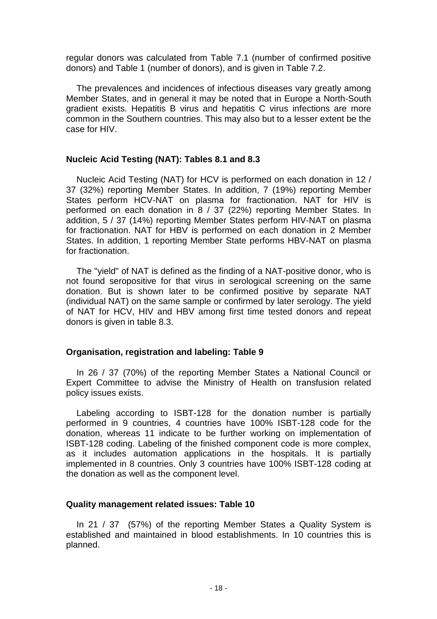regular donors was calculated from Table 7.1 (number of confirmed positive donors) and Table 1 (number of donors), and is given in Table 7.2.

The prevalences and incidences of infectious diseases vary greatly among Member States, and in general it may be noted that in Europe a North-South gradient exists. Hepatitis B virus and hepatitis C virus infections are more common in the Southern countries. This may also but to a lesser extent be the case for HIV.

### **Nucleic Acid Testing (NAT): Tables 8.1 and 8.3**

Nucleic Acid Testing (NAT) for HCV is performed on each donation in 12 / 37 (32%) reporting Member States. In addition, 7 (19%) reporting Member States perform HCV-NAT on plasma for fractionation. NAT for HIV is performed on each donation in 8 / 37 (22%) reporting Member States. In addition, 5 / 37 (14%) reporting Member States perform HIV-NAT on plasma for fractionation. NAT for HBV is performed on each donation in 2 Member States. In addition, 1 reporting Member State performs HBV-NAT on plasma for fractionation.

The "yield" of NAT is defined as the finding of a NAT-positive donor, who is not found seropositive for that virus in serological screening on the same donation. But is shown later to be confirmed positive by separate NAT (individual NAT) on the same sample or confirmed by later serology. The yield of NAT for HCV, HIV and HBV among first time tested donors and repeat donors is given in table 8.3.

### **Organisation, registration and labeling: Table 9**

In 26 / 37 (70%) of the reporting Member States a National Council or Expert Committee to advise the Ministry of Health on transfusion related policy issues exists.

Labeling according to ISBT-128 for the donation number is partially performed in 9 countries, 4 countries have 100% ISBT-128 code for the donation, whereas 11 indicate to be further working on implementation of ISBT-128 coding. Labeling of the finished component code is more complex, as it includes automation applications in the hospitals. It is partially implemented in 8 countries. Only 3 countries have 100% ISBT-128 coding at the donation as well as the component level.

### **Quality management related issues: Table 10**

In 21 / 37 (57%) of the reporting Member States a Quality System is established and maintained in blood establishments. In 10 countries this is planned.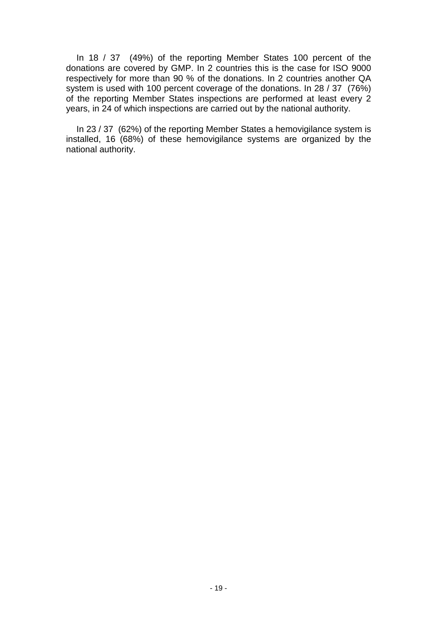In 18 / 37 (49%) of the reporting Member States 100 percent of the donations are covered by GMP. In 2 countries this is the case for ISO 9000 respectively for more than 90 % of the donations. In 2 countries another QA system is used with 100 percent coverage of the donations. In 28 / 37 (76%) of the reporting Member States inspections are performed at least every 2 years, in 24 of which inspections are carried out by the national authority.

In 23 / 37 (62%) of the reporting Member States a hemovigilance system is installed, 16 (68%) of these hemovigilance systems are organized by the national authority.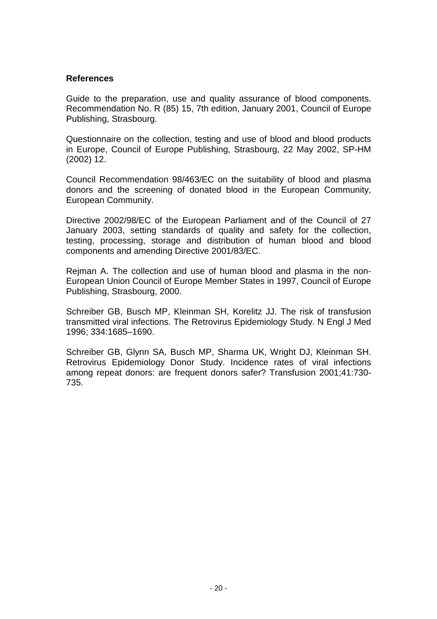### **References**

Guide to the preparation, use and quality assurance of blood components. Recommendation No. R (85) 15, 7th edition, January 2001, Council of Europe Publishing, Strasbourg.

Questionnaire on the collection, testing and use of blood and blood products in Europe, Council of Europe Publishing, Strasbourg, 22 May 2002, SP-HM (2002) 12.

Council Recommendation 98/463/EC on the suitability of blood and plasma donors and the screening of donated blood in the European Community, European Community.

Directive 2002/98/EC of the European Parliament and of the Council of 27 January 2003, setting standards of quality and safety for the collection, testing, processing, storage and distribution of human blood and blood components and amending Directive 2001/83/EC.

Rejman A. The collection and use of human blood and plasma in the non-European Union Council of Europe Member States in 1997, Council of Europe Publishing, Strasbourg, 2000.

Schreiber GB, Busch MP, Kleinman SH, Korelitz JJ. The risk of transfusion transmitted viral infections. The Retrovirus Epidemiology Study. N Engl J Med 1996; 334:1685–1690.

Schreiber GB, Glynn SA, Busch MP, Sharma UK, Wright DJ, Kleinman SH. Retrovirus Epidemiology Donor Study. Incidence rates of viral infections among repeat donors: are frequent donors safer? Transfusion 2001;41:730- 735.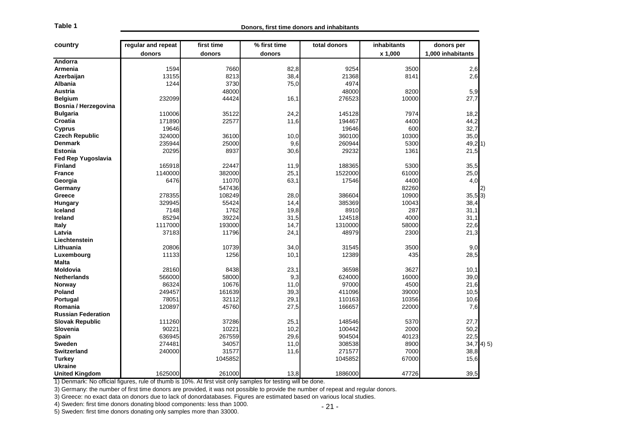| Table 1                   |                                                                                                                                   |            | Donors, first time donors and inhabitants |              |             |                   |
|---------------------------|-----------------------------------------------------------------------------------------------------------------------------------|------------|-------------------------------------------|--------------|-------------|-------------------|
| country                   | regular and repeat                                                                                                                | first time | % first time                              | total donors | inhabitants | donors per        |
|                           | donors                                                                                                                            | donors     | donors                                    |              | x 1,000     | 1,000 inhabitants |
| Andorra                   |                                                                                                                                   |            |                                           |              |             |                   |
| Armenia                   | 1594                                                                                                                              | 7660       | 82,8                                      | 9254         | 3500        | 2,6               |
| Azerbaijan                | 13155                                                                                                                             | 8213       | 38,4                                      | 21368        | 8141        | 2,6               |
| <b>Albania</b>            | 1244                                                                                                                              | 3730       | 75,0                                      | 4974         |             |                   |
| <b>Austria</b>            |                                                                                                                                   | 48000      |                                           | 48000        | 8200        | 5,9               |
| <b>Belgium</b>            | 232099                                                                                                                            | 44424      | 16,1                                      | 276523       | 10000       | 27,7              |
| Bosnia / Herzegovina      |                                                                                                                                   |            |                                           |              |             |                   |
| <b>Bulgaria</b>           | 110006                                                                                                                            | 35122      | 24,2                                      | 145128       | 7974        | 18,2              |
| Croatia                   | 171890                                                                                                                            | 22577      | 11,6                                      | 194467       | 4400        | 44,2              |
| <b>Cyprus</b>             | 19646                                                                                                                             |            |                                           | 19646        | 600         | 32,7              |
| <b>Czech Republic</b>     | 324000                                                                                                                            | 36100      | 10,0                                      | 360100       | 10300       | 35,0              |
| <b>Denmark</b>            | 235944                                                                                                                            | 25000      | 9,6                                       | 260944       | 5300        | 49,21             |
| <b>Estonia</b>            | 20295                                                                                                                             | 8937       | 30,6                                      | 29232        | 1361        | 21,5              |
| <b>Fed Rep Yugoslavia</b> |                                                                                                                                   |            |                                           |              |             |                   |
| <b>Finland</b>            | 165918                                                                                                                            | 22447      | 11,9                                      | 188365       | 5300        | 35,5              |
| <b>France</b>             | 1140000                                                                                                                           | 382000     | 25,1                                      | 1522000      | 61000       | 25,0              |
| Georgia                   | 6476                                                                                                                              | 11070      | 63,1                                      | 17546        | 4400        | 4,0               |
| Germany                   |                                                                                                                                   | 547436     |                                           |              | 82260       | 2)                |
| Greece                    | 278355                                                                                                                            | 108249     | 28,0                                      | 386604       | 10900       | $35,5$ 3)         |
| Hungary                   | 329945                                                                                                                            | 55424      | 14,4                                      | 385369       | 10043       | 38,4              |
| Iceland                   | 7148                                                                                                                              | 1762       | 19,8                                      | 8910         | 287         | 31,1              |
| <b>Ireland</b>            | 85294                                                                                                                             | 39224      | 31,5                                      | 124518       | 4000        | 31,1              |
| <b>Italy</b>              | 1117000                                                                                                                           | 193000     | 14,7                                      | 1310000      | 58000       | 22,6              |
| Latvia                    | 37183                                                                                                                             | 11796      | 24,1                                      | 48979        | 2300        | 21,3              |
| Liechtenstein             |                                                                                                                                   |            |                                           |              |             |                   |
| Lithuania                 | 20806                                                                                                                             | 10739      | 34,0                                      | 31545        | 3500        | 9,0               |
| Luxembourg                | 11133                                                                                                                             | 1256       | 10,1                                      | 12389        | 435         | 28,5              |
| Malta                     |                                                                                                                                   |            |                                           |              |             |                   |
| <b>Moldovia</b>           | 28160                                                                                                                             | 8438       | 23,1                                      | 36598        | 3627        | 10,1              |
| <b>Netherlands</b>        | 566000                                                                                                                            | 58000      | 9,3                                       | 624000       | 16000       | 39,0              |
| Norway                    | 86324                                                                                                                             | 10676      | 11,0                                      | 97000        | 4500        | 21,6              |
| Poland                    | 249457                                                                                                                            | 161639     | 39,3                                      | 411096       | 39000       | 10,5              |
| Portugal                  | 78051                                                                                                                             | 32112      | 29,1                                      | 110163       | 10356       | 10,6              |
| Romania                   | 120897                                                                                                                            | 45760      | 27,5                                      | 166657       | 22000       | 7,6               |
| <b>Russian Federation</b> |                                                                                                                                   |            |                                           |              |             |                   |
| <b>Slovak Republic</b>    | 111260                                                                                                                            | 37286      | 25,1                                      | 148546       | 5370        | 27,7              |
| Slovenia                  | 90221                                                                                                                             | 10221      | 10,2                                      | 100442       | 2000        | 50,2              |
| <b>Spain</b>              | 636945                                                                                                                            | 267559     | 29,6                                      | 904504       | 40123       | 22,5              |
| <b>Sweden</b>             | 274481                                                                                                                            | 34057      | 11,0                                      | 308538       | 8900        | $34,7$ 4) 5)      |
| <b>Switzerland</b>        | 240000                                                                                                                            | 31577      | 11,6                                      | 271577       | 7000        | 38,8              |
| <b>Turkey</b>             |                                                                                                                                   | 1045852    |                                           | 1045852      | 67000       | 15,6              |
| <b>Ukraine</b>            |                                                                                                                                   |            |                                           |              |             |                   |
| <b>United Kingdom</b>     | 1625000                                                                                                                           | 261000     | 13,8                                      | 1886000      | 47726       | 39,5              |
|                           | 1) Denmark: No official figures, rule of thumb is 10%. At first visit only samples for testing will be done.                      |            |                                           |              |             |                   |
|                           | 3) Germany: the number of first time donors are provided, it was not possible to provide the number of repeat and regular donors. |            |                                           |              |             |                   |
|                           | 3) Greece: no exact data on donors due to lack of donordatabases. Figures are estimated based on various local studies.           |            |                                           |              |             |                   |
|                           | 4) Sweden: first time donors donating blood components: less than 1000.                                                           |            |                                           | - 21 -       |             |                   |
|                           | eden; first time denore denoting only comples mere than 22000                                                                     |            |                                           |              |             |                   |

5) Sweden: first time donors donating only samples more than 33000.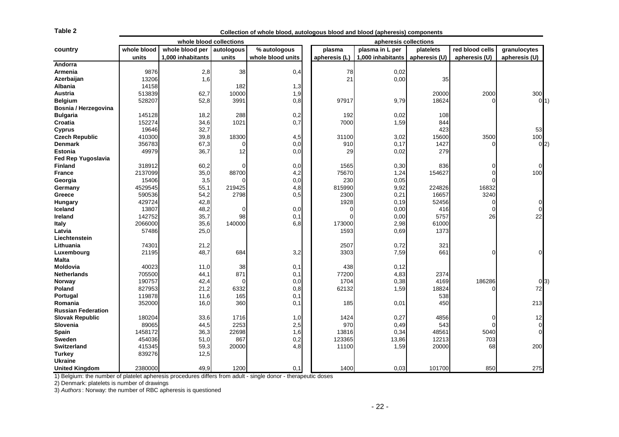| Table 2                                                                                                       |                  |                         |            | Collection of whole blood, autologous blood and blood (apheresis) components |               |                       |               |                 |               |  |
|---------------------------------------------------------------------------------------------------------------|------------------|-------------------------|------------|------------------------------------------------------------------------------|---------------|-----------------------|---------------|-----------------|---------------|--|
|                                                                                                               |                  | whole blood collections |            |                                                                              |               | apheresis collections |               |                 |               |  |
| country                                                                                                       | whole blood      | whole blood per         | autologous | % autologous                                                                 | plasma        | plasma in L per       | platelets     | red blood cells | granulocytes  |  |
|                                                                                                               | units            | 1,000 inhabitants       | units      | whole blood units                                                            | apheresis (L) | 1,000 inhabitants     | apheresis (U) | apheresis (U)   | apheresis (U) |  |
| Andorra                                                                                                       |                  |                         |            |                                                                              |               |                       |               |                 |               |  |
| Armenia                                                                                                       | 9876             | 2,8                     | 38         | 0,4                                                                          | 78            | 0,02                  |               |                 |               |  |
| Azerbaijan                                                                                                    | 13206            | 1,6                     |            |                                                                              | 21            | 0,00                  | 35            |                 |               |  |
| Albania                                                                                                       | 14158            |                         | 182        | 1,3                                                                          |               |                       |               |                 |               |  |
| Austria                                                                                                       | 513839           | 62,7                    | 10000      | 1,9                                                                          |               |                       | 20000         | 2000            | 300           |  |
| <b>Belgium</b>                                                                                                | 528207           | 52,8                    | 3991       | 0,8                                                                          | 97917         | 9,79                  | 18624         | 0               | O(1)          |  |
| Bosnia / Herzegovina                                                                                          |                  |                         |            |                                                                              |               |                       |               |                 |               |  |
| <b>Bulgaria</b>                                                                                               | 145128           | 18,2                    | 288        | 0,2                                                                          | 192           | 0,02                  | 108           |                 |               |  |
| Croatia                                                                                                       | 152274           | 34,6                    | 1021       | 0,7                                                                          | 7000          | 1,59                  | 844           |                 |               |  |
| <b>Cyprus</b>                                                                                                 | 19646            | 32,7                    |            |                                                                              |               |                       | 423           |                 | 53            |  |
| <b>Czech Republic</b>                                                                                         | 410300           | 39,8                    | 18300      | 4,5                                                                          | 31100         | 3,02                  | 15600         | 3500            | 100           |  |
| <b>Denmark</b>                                                                                                | 356783           | 67,3                    | 0          | 0,0                                                                          | 910           | 0,17                  | 1427          | 0               | 0(2)          |  |
| <b>Estonia</b>                                                                                                | 49979            | 36,7                    | 12         | 0,0                                                                          | 29            | 0,02                  | 279           |                 |               |  |
| Fed Rep Yugoslavia                                                                                            |                  |                         |            |                                                                              |               |                       |               |                 |               |  |
| <b>Finland</b>                                                                                                | 318912           | 60,2                    | ∩          | 0,0                                                                          | 1565          | 0,30                  | 836           | 0               |               |  |
| <b>France</b>                                                                                                 | 2137099          | 35,0                    | 88700      | 4,2                                                                          | 75670         | 1,24                  | 154627        | 0               | 100           |  |
| Georgia                                                                                                       | 15406            | 3,5                     |            | 0,0                                                                          | 230           | 0,05                  |               | $\Omega$        |               |  |
| Germany                                                                                                       | 4529545          | 55,1                    | 219425     | 4,8                                                                          | 815990        | 9,92                  | 224826        | 16832           |               |  |
| Greece                                                                                                        | 590536           | 54,2                    | 2798       | 0,5                                                                          | 2300          | 0,21                  | 16657         | 3240            |               |  |
| Hungary                                                                                                       | 429724           | 42,8                    |            |                                                                              | 1928          | 0, 19                 | 52456         | $\mathbf 0$     |               |  |
| Iceland                                                                                                       | 13807            | 48,2                    | $\Omega$   | 0,0                                                                          | 0             | 0,00                  | 416           | $\mathbf 0$     |               |  |
| Ireland                                                                                                       | 142752           | 35,7                    | 98         | 0,1                                                                          | $\Omega$      | 0,00                  | 5757          | 26              | 22            |  |
| <b>Italy</b>                                                                                                  | 2066000          | 35,6                    | 140000     | 6,8                                                                          | 173000        | 2,98                  | 61000         |                 |               |  |
| Latvia                                                                                                        | 57486            | 25,0                    |            |                                                                              | 1593          | 0,69                  | 1373          |                 |               |  |
| Liechtenstein                                                                                                 |                  |                         |            |                                                                              |               |                       |               |                 |               |  |
| Lithuania                                                                                                     | 74301            | 21,2                    |            |                                                                              | 2507          | 0,72                  | 321           |                 |               |  |
| Luxembourg                                                                                                    | 21195            | 48,7                    | 684        | 3,2                                                                          | 3303          | 7,59                  | 661           | 0               |               |  |
| Malta                                                                                                         |                  |                         |            |                                                                              |               |                       |               |                 |               |  |
| Moldovia                                                                                                      | 40023            | 11,0                    | 38         | 0,1                                                                          | 438           | 0,12                  |               |                 |               |  |
| <b>Netherlands</b>                                                                                            | 705500           | 44,1                    | 871        | 0,1                                                                          | 77200         | 4,83                  | 2374          |                 |               |  |
| Norway                                                                                                        | 190757           | 42,4                    |            | 0,0                                                                          | 1704          | 0,38                  | 4169          | 186286          | 0 3)          |  |
| Poland                                                                                                        | 827953           | 21,2                    | 6332       | 0,8                                                                          | 62132         | 1,59                  | 18824         | 0               | 72            |  |
| Portugal<br>Romania                                                                                           | 119878<br>352000 | 11,6                    | 165<br>360 | 0,1<br>0,1                                                                   |               |                       | 538<br>450    |                 | 213           |  |
| <b>Russian Federation</b>                                                                                     |                  | 16,0                    |            |                                                                              | 185           | 0,01                  |               |                 |               |  |
| <b>Slovak Republic</b>                                                                                        | 180204           | 33,6                    | 1716       |                                                                              | 1424          | 0,27                  | 4856          | 0               | 12            |  |
| <b>Slovenia</b>                                                                                               | 89065            | 44,5                    | 2253       | 1,0<br>2,5                                                                   | 970           | 0,49                  | 543           | $\Omega$        |               |  |
| Spain                                                                                                         | 1458172          | 36,3                    | 22698      | 1,6                                                                          | 13816         | 0,34                  | 48561         | 5040            |               |  |
| Sweden                                                                                                        | 454036           | 51,0                    | 867        | 0,2                                                                          | 123365        | 13,86                 | 12213         | 703             |               |  |
| <b>Switzerland</b>                                                                                            | 415345           | 59,3                    | 20000      | 4,8                                                                          | 11100         | 1,59                  | 20000         | 68              | 200           |  |
| <b>Turkey</b>                                                                                                 | 839276           | 12,5                    |            |                                                                              |               |                       |               |                 |               |  |
| <b>Ukraine</b>                                                                                                |                  |                         |            |                                                                              |               |                       |               |                 |               |  |
| <b>United Kingdom</b>                                                                                         | 2380000          | 49,9                    | 1200       | 0,1                                                                          | 1400          | 0,03                  | 101700        | 850             | 275           |  |
| 1) Belgium: the number of platelet apheresis procedures differs from adult - single donor - therapeutic doses |                  |                         |            |                                                                              |               |                       |               |                 |               |  |
| 2) Denmark: platelets is number of drawings                                                                   |                  |                         |            |                                                                              |               |                       |               |                 |               |  |
| 3) Authors: Norway: the number of RBC apheresis is questioned                                                 |                  |                         |            |                                                                              |               |                       |               |                 |               |  |
|                                                                                                               |                  |                         |            |                                                                              |               |                       |               |                 |               |  |
|                                                                                                               |                  |                         |            |                                                                              |               | $-22-$                |               |                 |               |  |
|                                                                                                               |                  |                         |            |                                                                              |               |                       |               |                 |               |  |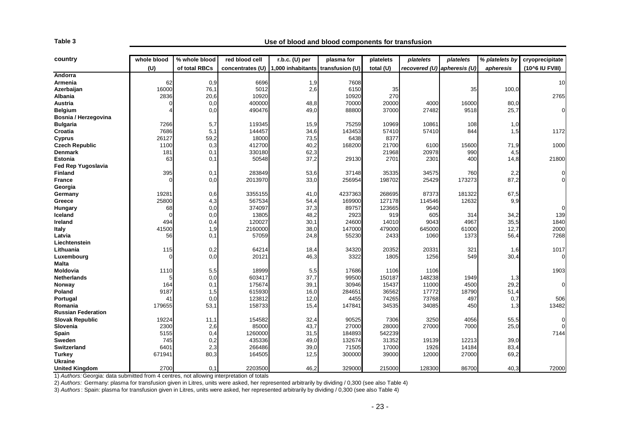| country                                                                                                                                                                                                                                                                                                                                                                                                                                      | whole blood | % whole blood | red blood cell   | $r.b.c.$ (U) per  | plasma for      | platelets        | platelets                   | platelets | % platelets by | cryoprecipitate |
|----------------------------------------------------------------------------------------------------------------------------------------------------------------------------------------------------------------------------------------------------------------------------------------------------------------------------------------------------------------------------------------------------------------------------------------------|-------------|---------------|------------------|-------------------|-----------------|------------------|-----------------------------|-----------|----------------|-----------------|
|                                                                                                                                                                                                                                                                                                                                                                                                                                              | (U)         | of total RBCs | concentrates (U) | 1,000 inhabitants | transfusion (U) | total (U)        | recovered (U) apheresis (U) |           | apheresis      | (10^6 IU FVIII) |
| Andorra                                                                                                                                                                                                                                                                                                                                                                                                                                      |             |               |                  |                   |                 |                  |                             |           |                |                 |
| Armenia                                                                                                                                                                                                                                                                                                                                                                                                                                      | 62          | 0,9           | 6696             | 1,9               | 7608            |                  |                             |           |                | 10              |
| Azerbaijan                                                                                                                                                                                                                                                                                                                                                                                                                                   | 16000       | 76,1          | 5012             | 2,6               | 6150            | 35               |                             | 35        | 100,0          |                 |
| <b>Albania</b>                                                                                                                                                                                                                                                                                                                                                                                                                               | 2836        | 20,6          | 10920            |                   | 10920           | 270              |                             |           |                | 2765            |
| Austria                                                                                                                                                                                                                                                                                                                                                                                                                                      | $\mathbf 0$ | 0,0           | 400000           | 48,8              | 70000           | 20000            | 4000                        | 16000     | 80,0           |                 |
| <b>Belgium</b>                                                                                                                                                                                                                                                                                                                                                                                                                               |             | 0,0           | 490476           | 49,0              | 88800           | 37000            | 27482                       | 9518      | 25,7           |                 |
| Bosnia / Herzegovina                                                                                                                                                                                                                                                                                                                                                                                                                         |             |               |                  |                   |                 |                  |                             |           |                |                 |
| <b>Bulgaria</b>                                                                                                                                                                                                                                                                                                                                                                                                                              | 7266        | 5,7           | 119345           | 15,9              | 75259           | 10969            | 10861                       | 108       | 1,0            |                 |
| Croatia                                                                                                                                                                                                                                                                                                                                                                                                                                      | 7686        | 5,1           | 144457           | 34,6              | 143453          | 57410            | 57410                       | 844       | 1,5            | 1172            |
| <b>Cyprus</b>                                                                                                                                                                                                                                                                                                                                                                                                                                | 26127       | 59,2          | 18000            | 73,5              | 6438            | 8377             |                             |           |                |                 |
| <b>Czech Republic</b>                                                                                                                                                                                                                                                                                                                                                                                                                        | 1100        | 0,3           | 412700           | 40,2              | 168200          | 21700            | 6100                        | 15600     | 71,9           | 1000            |
| <b>Denmark</b>                                                                                                                                                                                                                                                                                                                                                                                                                               | 181         | 0,1           | 330180           | 62,3              |                 | 21968            | 20978                       | 990       | 4,5            |                 |
| <b>Estonia</b>                                                                                                                                                                                                                                                                                                                                                                                                                               | 63          | 0,1           | 50548            | 37,2              | 29130           | 2701             | 2301                        | 400       | 14,8           | 21800           |
| Fed Rep Yugoslavia                                                                                                                                                                                                                                                                                                                                                                                                                           |             |               |                  |                   |                 |                  |                             |           |                |                 |
| <b>Finland</b>                                                                                                                                                                                                                                                                                                                                                                                                                               | 395         | 0,1           | 283849           | 53,6              | 37148           | 35335            | 34575                       | 760       | 2,2            |                 |
| <b>France</b>                                                                                                                                                                                                                                                                                                                                                                                                                                | $\Omega$    | 0,0           | 2013970          | 33,0              | 256954          | 198702           | 25429                       | 173273    | 87,2           |                 |
| Georgia                                                                                                                                                                                                                                                                                                                                                                                                                                      |             |               |                  |                   |                 |                  |                             |           |                |                 |
| Germany                                                                                                                                                                                                                                                                                                                                                                                                                                      | 19281       | 0,6           | 3355155          | 41,0              | 4237363         | 268695           | 87373                       | 181322    | 67,5           |                 |
| Greece                                                                                                                                                                                                                                                                                                                                                                                                                                       | 25800       | 4,3           | 567534           | 54,4              | 169900          | 127178           | 114546                      | 12632     | 9,9            |                 |
| Hungary                                                                                                                                                                                                                                                                                                                                                                                                                                      | 68          | 0,0           | 374097           | 37,3              | 89757           | 123665           | 9640                        |           |                |                 |
| Iceland                                                                                                                                                                                                                                                                                                                                                                                                                                      | $\mathbf 0$ | 0,0           | 13805            | 48,2              | 2923            | 919              | 605                         | 314       | 34,2           | 139             |
| <b>Ireland</b>                                                                                                                                                                                                                                                                                                                                                                                                                               | 494         | 0,4           | 120027           | 30,1              | 24600           | 14010            | 9043                        | 4967      | 35,5           | 1840            |
| <b>Italy</b>                                                                                                                                                                                                                                                                                                                                                                                                                                 | 41500       | 1,9           | 2160000          | 38,0              | 147000          | 479000           | 645000                      | 61000     | 12,7           | 2000            |
| Latvia                                                                                                                                                                                                                                                                                                                                                                                                                                       | 56          | 0,1           | 57059            | 24,8              | 55230           | 2433             | 1060                        | 1373      | 56,4           | 7268            |
| Liechtenstein                                                                                                                                                                                                                                                                                                                                                                                                                                |             |               |                  |                   |                 |                  |                             |           |                |                 |
| Lithuania                                                                                                                                                                                                                                                                                                                                                                                                                                    | 115         | 0,2           | 64214            | 18,4              | 34320           | 20352            | 20331                       | 321       | 1,6            | 1017            |
| Luxembourg                                                                                                                                                                                                                                                                                                                                                                                                                                   | $\Omega$    | 0,0           | 20121            | 46,3              | 3322            | 1805             | 1256                        | 549       | 30,4           |                 |
| Malta                                                                                                                                                                                                                                                                                                                                                                                                                                        |             |               |                  |                   |                 |                  |                             |           |                |                 |
| Moldovia                                                                                                                                                                                                                                                                                                                                                                                                                                     | 1110        | 5,5           | 18999            | 5,5               | 17686           | 1106             | 1106                        |           |                | 1903            |
| <b>Netherlands</b>                                                                                                                                                                                                                                                                                                                                                                                                                           | 5           | 0,0           | 603417           | 37,7              | 99500           | 150187           | 148238                      | 1949      | 1,3            |                 |
| Norway                                                                                                                                                                                                                                                                                                                                                                                                                                       | 164         | 0,1           | 175674           | 39,1              | 30946           | 15437            | 11000                       | 4500      | 29,2           |                 |
| Poland                                                                                                                                                                                                                                                                                                                                                                                                                                       | 9187        | 1,5           | 615930           | 16,0              | 284651          | 36562            | 17772                       | 18790     | 51,4           |                 |
| Portugal                                                                                                                                                                                                                                                                                                                                                                                                                                     | 41          | 0,0           | 123812           | 12,0              | 4455            | 74265            | 73768                       | 497       | 0,7            | 506             |
| Romania                                                                                                                                                                                                                                                                                                                                                                                                                                      | 179655      | 53,1          | 158733           | 15,4              | 147841          | 34535            | 34085                       | 450       | 1,3            | 13482           |
| <b>Russian Federation</b>                                                                                                                                                                                                                                                                                                                                                                                                                    |             |               |                  |                   |                 |                  |                             |           |                |                 |
| <b>Slovak Republic</b>                                                                                                                                                                                                                                                                                                                                                                                                                       | 19224       | 11,1          | 154582           | 32,4              | 90525           | 7306             | 3250                        | 4056      | 55,5           |                 |
| Slovenia                                                                                                                                                                                                                                                                                                                                                                                                                                     | 2300        | 2,6           | 85000            | 43,7              | 27000           | 28000            | 27000                       | 7000      | 25,0           |                 |
| Spain                                                                                                                                                                                                                                                                                                                                                                                                                                        | 5155        | 0,4           | 1260000          | 31,5              | 184893          | 542239           |                             |           |                | 7144            |
| Sweden                                                                                                                                                                                                                                                                                                                                                                                                                                       | 745         | 0,2           | 435336           | 49,0              | 132674          | 31352            | 19139                       | 12213     | 39,0           |                 |
| <b>Switzerland</b>                                                                                                                                                                                                                                                                                                                                                                                                                           | 6401        | 2,3           | 266486           | 39,0              | 71505           | 17000            | 1926                        | 14184     | 83,4           |                 |
| <b>Turkey</b>                                                                                                                                                                                                                                                                                                                                                                                                                                | 671941      | 80,3          | 164505           | 12,5              | 300000          | 39000            | 12000                       | 27000     | 69,2           |                 |
|                                                                                                                                                                                                                                                                                                                                                                                                                                              |             |               |                  |                   |                 |                  |                             |           |                |                 |
|                                                                                                                                                                                                                                                                                                                                                                                                                                              |             |               |                  |                   |                 |                  |                             |           |                | 72000           |
| <b>Ukraine</b><br><b>United Kingdom</b><br>1) Authors: Georgia: data submitted from 4 centres, not allowing interpretation of totals<br>2) Authors: Germany: plasma for transfusion given in Litres, units were asked, her represented arbitrarily by dividing / 0,300 (see also Table 4)<br>3) Authors: Spain: plasma for transfusion given in Litres, units were asked, her represented arbitrarily by dividing / 0.300 (see also Table 4) | 2700        | 0,1           | 2203500          | 46,2              | 329000          | 215000<br>$-23-$ | 128300                      | 86700     | 40,3           |                 |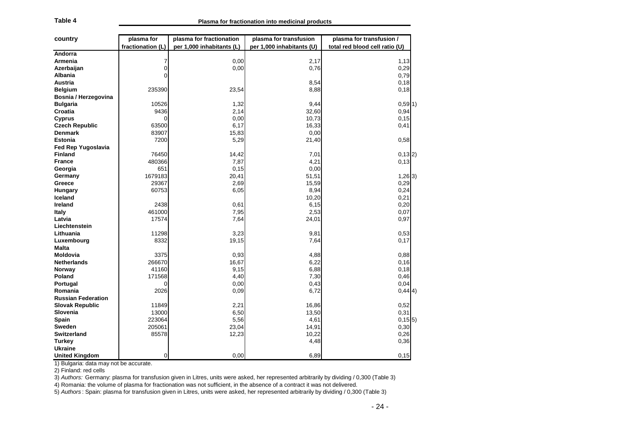| country                                                         | plasma for        | plasma for fractionation  | plasma for transfusion                                                                                                                                                                                                                                                                                                                                                                                          | plasma for transfusion /       |
|-----------------------------------------------------------------|-------------------|---------------------------|-----------------------------------------------------------------------------------------------------------------------------------------------------------------------------------------------------------------------------------------------------------------------------------------------------------------------------------------------------------------------------------------------------------------|--------------------------------|
|                                                                 | fractionation (L) | per 1,000 inhabitants (L) | per 1,000 inhabitants (U)                                                                                                                                                                                                                                                                                                                                                                                       | total red blood cell ratio (U) |
| Andorra                                                         |                   |                           |                                                                                                                                                                                                                                                                                                                                                                                                                 |                                |
| Armenia                                                         | 7                 | 0,00                      | 2,17                                                                                                                                                                                                                                                                                                                                                                                                            | 1,13                           |
| Azerbaijan                                                      | $\overline{0}$    | 0,00                      | 0,76                                                                                                                                                                                                                                                                                                                                                                                                            | 0,29                           |
| Albania                                                         | 0                 |                           |                                                                                                                                                                                                                                                                                                                                                                                                                 | 0,79                           |
| Austria                                                         |                   |                           | 8,54                                                                                                                                                                                                                                                                                                                                                                                                            | 0,18                           |
| <b>Belgium</b>                                                  | 235390            | 23,54                     | 8,88                                                                                                                                                                                                                                                                                                                                                                                                            | 0,18                           |
| Bosnia / Herzegovina                                            |                   |                           |                                                                                                                                                                                                                                                                                                                                                                                                                 |                                |
| <b>Bulgaria</b>                                                 | 10526             | 1,32                      | 9,44                                                                                                                                                                                                                                                                                                                                                                                                            | $0,59$ 1)                      |
| Croatia                                                         | 9436              | 2,14                      | 32,60                                                                                                                                                                                                                                                                                                                                                                                                           | 0,94                           |
| <b>Cyprus</b>                                                   | 0                 | 0,00                      | 10,73                                                                                                                                                                                                                                                                                                                                                                                                           | 0, 15                          |
| <b>Czech Republic</b>                                           | 63500             | 6,17                      | 16,33                                                                                                                                                                                                                                                                                                                                                                                                           | 0,41                           |
| <b>Denmark</b>                                                  | 83907             | 15,83                     | 0,00                                                                                                                                                                                                                                                                                                                                                                                                            |                                |
| <b>Estonia</b>                                                  | 7200              | 5,29                      | 21,40                                                                                                                                                                                                                                                                                                                                                                                                           | 0,58                           |
| Fed Rep Yugoslavia                                              |                   |                           |                                                                                                                                                                                                                                                                                                                                                                                                                 |                                |
| <b>Finland</b>                                                  | 76450             | 14,42                     | 7,01                                                                                                                                                                                                                                                                                                                                                                                                            | $0,13$ 2)                      |
| <b>France</b>                                                   | 480366            | 7,87                      | 4,21                                                                                                                                                                                                                                                                                                                                                                                                            | 0,13                           |
| Georgia                                                         | 651               | 0, 15                     | 0,00                                                                                                                                                                                                                                                                                                                                                                                                            |                                |
| Germany                                                         | 1679183           | 20,41                     | 51,51                                                                                                                                                                                                                                                                                                                                                                                                           | $1,26$ 3)                      |
| Greece                                                          | 29367             | 2,69                      | 15,59                                                                                                                                                                                                                                                                                                                                                                                                           | 0,29                           |
| <b>Hungary</b>                                                  | 60753             | 6,05                      | 8,94                                                                                                                                                                                                                                                                                                                                                                                                            | 0,24                           |
| Iceland                                                         |                   |                           | 10,20                                                                                                                                                                                                                                                                                                                                                                                                           | 0,21                           |
| Ireland                                                         | 2438              | 0,61                      | 6,15                                                                                                                                                                                                                                                                                                                                                                                                            | 0,20                           |
| <b>Italy</b>                                                    | 461000            | 7,95                      | 2,53                                                                                                                                                                                                                                                                                                                                                                                                            | 0,07                           |
| Latvia                                                          | 17574             | 7,64                      | 24,01                                                                                                                                                                                                                                                                                                                                                                                                           | 0,97                           |
| Liechtenstein                                                   |                   |                           |                                                                                                                                                                                                                                                                                                                                                                                                                 |                                |
| Lithuania                                                       | 11298             | 3,23                      | 9,81                                                                                                                                                                                                                                                                                                                                                                                                            | 0,53                           |
| Luxembourg                                                      | 8332              | 19,15                     | 7,64                                                                                                                                                                                                                                                                                                                                                                                                            | 0,17                           |
| <b>Malta</b>                                                    | 3375              |                           |                                                                                                                                                                                                                                                                                                                                                                                                                 |                                |
| Moldovia                                                        | 266670            | 0,93<br>16,67             | 4,88<br>6,22                                                                                                                                                                                                                                                                                                                                                                                                    | 0,88<br>0,16                   |
| <b>Netherlands</b>                                              | 41160             | 9,15                      | 6,88                                                                                                                                                                                                                                                                                                                                                                                                            | 0,18                           |
| <b>Norway</b><br>Poland                                         | 171568            | 4,40                      | 7,30                                                                                                                                                                                                                                                                                                                                                                                                            | 0,46                           |
| Portugal                                                        | 0                 | 0,00                      | 0,43                                                                                                                                                                                                                                                                                                                                                                                                            | 0,04                           |
| Romania                                                         | 2026              | 0,09                      | 6,72                                                                                                                                                                                                                                                                                                                                                                                                            | 0,44 4)                        |
| <b>Russian Federation</b>                                       |                   |                           |                                                                                                                                                                                                                                                                                                                                                                                                                 |                                |
| <b>Slovak Republic</b>                                          | 11849             | 2,21                      | 16,86                                                                                                                                                                                                                                                                                                                                                                                                           | 0,52                           |
| Slovenia                                                        | 13000             | 6,50                      | 13,50                                                                                                                                                                                                                                                                                                                                                                                                           | 0,31                           |
| <b>Spain</b>                                                    | 223064            | 5,56                      | 4,61                                                                                                                                                                                                                                                                                                                                                                                                            | 0,155                          |
| Sweden                                                          | 205061            | 23,04                     | 14,91                                                                                                                                                                                                                                                                                                                                                                                                           | 0,30                           |
| <b>Switzerland</b>                                              | 85578             | 12,23                     | 10,22                                                                                                                                                                                                                                                                                                                                                                                                           | 0,26                           |
| Turkey                                                          |                   |                           | 4,48                                                                                                                                                                                                                                                                                                                                                                                                            | 0,36                           |
| <b>Ukraine</b>                                                  |                   |                           |                                                                                                                                                                                                                                                                                                                                                                                                                 |                                |
| <b>United Kingdom</b>                                           | $\Omega$          | 0,00                      | 6,89                                                                                                                                                                                                                                                                                                                                                                                                            | 0,15                           |
| 1) Bulgaria: data may not be accurate.<br>2) Finland: red cells |                   |                           | 3) Authors: Germany: plasma for transfusion given in Litres, units were asked, her represented arbitrarily by dividing / 0,300 (Table 3)<br>4) Romania: the volume of plasma for fractionation was not sufficient, in the absence of a contract it was not delivered.<br>5) Authors: Spain: plasma for transfusion given in Litres, units were asked, her represented arbitrarily by dividing / 0,300 (Table 3) |                                |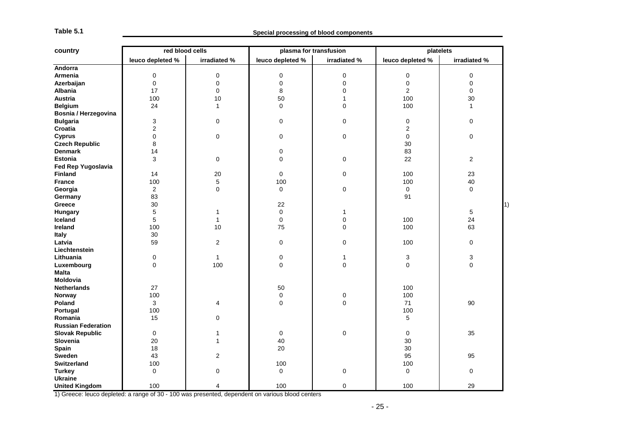| leuco depleted %<br>leuco depleted %<br>irradiated %<br>leuco depleted %<br>irradiated %<br>Andorra<br>Armenia<br>$\pmb{0}$<br>$\pmb{0}$<br>0<br>$\mathsf 0$<br>$\pmb{0}$<br>$\mathbf 0$<br>$\pmb{0}$<br>0<br>$\pmb{0}$<br>Azerbaijan<br>0<br>0<br>$\mathbf 0$<br>17<br>$\mathbf 0$<br>8<br>$\overline{2}$<br><b>Albania</b><br>$\mathbf 0$<br>$\mathbf 0$<br><b>Austria</b><br>100<br>10<br>50<br>100<br>30<br>$\mathbf{1}$<br>24<br>100<br><b>Belgium</b><br>$\mathbf{1}$<br>0<br>0<br>$\mathbf{1}$<br>Bosnia / Herzegovina<br><b>Bulgaria</b><br>3<br>0<br>0<br>0<br>$\pmb{0}$<br>0<br>Croatia<br>$\overline{c}$<br>$\overline{c}$<br>$\mathbf 0$<br>$\pmb{0}$<br>0<br>$\pmb{0}$<br>$\pmb{0}$<br>$\pmb{0}$<br><b>Cyprus</b><br><b>Czech Republic</b><br>8<br>30<br>0<br>83<br><b>Denmark</b><br>14<br>3<br>$\pmb{0}$<br>$\overline{0}$<br>22<br><b>Estonia</b><br>$\mathbf 0$<br>$\overline{\mathbf{c}}$<br>Fed Rep Yugoslavia<br><b>Finland</b><br>20<br>$\mathbf 0$<br>$\pmb{0}$<br>100<br>23<br>14<br>5<br>100<br>100<br>100<br>40<br><b>France</b><br>$\mathbf 0$<br>$\overline{\mathbf{c}}$<br>$\Omega$<br>$\mathbf 0$<br>$\mathbf 0$<br>$\Omega$<br>Georgia<br>83<br>91<br>Germany<br>30<br>22<br>Greece<br>5<br>$\mathbf 0$<br>5<br>Hungary<br>$\mathbf{1}$<br>$\mathbf{1}$<br>24<br>Iceland<br>5<br>$\mathbf{1}$<br>$\mathbf 0$<br>$\mathbf 0$<br>100<br>100<br>100<br>Ireland<br>10<br>75<br>0<br>63<br>30<br><b>Italy</b><br>59<br>$\boldsymbol{2}$<br>$\mathbf 0$<br>Latvia<br>0<br>100<br>0<br>Liechtenstein<br>0<br>$\mathbf{1}$<br>$\mathbf 0$<br>3<br>3<br>Lithuania<br>1<br>$\overline{0}$<br>$\mathsf{O}\xspace$<br>Luxembourg<br>$\overline{0}$<br>100<br>$\mathbf 0$<br>0<br><b>Malta</b><br><b>Moldovia</b><br>27<br>50<br>100<br><b>Netherlands</b><br>100<br>$\mathbf 0$<br>100<br>Norway<br>0<br>0<br>90<br>Poland<br>3<br>$\overline{\mathbf{4}}$<br>0<br>71<br>100<br>100<br>Portugal<br>$\mathbf 0$<br>5<br>Romania<br>15<br><b>Russian Federation</b><br><b>Slovak Republic</b><br>$\mathbf 0$<br>$\mathbf 0$<br>0<br>0<br>35<br>$\mathbf{1}$<br>Slovenia<br>20<br>$\mathbf{1}$<br>40<br>30<br><b>Spain</b><br>18<br>20<br>30<br>Sweden<br>43<br>$\overline{2}$<br>95<br>95<br>100<br>100<br><b>Switzerland</b><br>100<br>0<br>$\mathbf 0$<br>$\mathbf 0$<br><b>Turkey</b><br>0<br>0<br>0<br>Ukraine | country               | red blood cells |                | plasma for transfusion |             | platelets |              |
|------------------------------------------------------------------------------------------------------------------------------------------------------------------------------------------------------------------------------------------------------------------------------------------------------------------------------------------------------------------------------------------------------------------------------------------------------------------------------------------------------------------------------------------------------------------------------------------------------------------------------------------------------------------------------------------------------------------------------------------------------------------------------------------------------------------------------------------------------------------------------------------------------------------------------------------------------------------------------------------------------------------------------------------------------------------------------------------------------------------------------------------------------------------------------------------------------------------------------------------------------------------------------------------------------------------------------------------------------------------------------------------------------------------------------------------------------------------------------------------------------------------------------------------------------------------------------------------------------------------------------------------------------------------------------------------------------------------------------------------------------------------------------------------------------------------------------------------------------------------------------------------------------------------------------------------------------------------------------------------------------------------------------------------------------------------------------------------------------------------------------------------------------------------------------------------------------------------------------------------------------------------------------------------------------------------------------------|-----------------------|-----------------|----------------|------------------------|-------------|-----------|--------------|
|                                                                                                                                                                                                                                                                                                                                                                                                                                                                                                                                                                                                                                                                                                                                                                                                                                                                                                                                                                                                                                                                                                                                                                                                                                                                                                                                                                                                                                                                                                                                                                                                                                                                                                                                                                                                                                                                                                                                                                                                                                                                                                                                                                                                                                                                                                                                    |                       |                 |                |                        |             |           | irradiated % |
|                                                                                                                                                                                                                                                                                                                                                                                                                                                                                                                                                                                                                                                                                                                                                                                                                                                                                                                                                                                                                                                                                                                                                                                                                                                                                                                                                                                                                                                                                                                                                                                                                                                                                                                                                                                                                                                                                                                                                                                                                                                                                                                                                                                                                                                                                                                                    |                       |                 |                |                        |             |           |              |
|                                                                                                                                                                                                                                                                                                                                                                                                                                                                                                                                                                                                                                                                                                                                                                                                                                                                                                                                                                                                                                                                                                                                                                                                                                                                                                                                                                                                                                                                                                                                                                                                                                                                                                                                                                                                                                                                                                                                                                                                                                                                                                                                                                                                                                                                                                                                    |                       |                 |                |                        |             |           |              |
|                                                                                                                                                                                                                                                                                                                                                                                                                                                                                                                                                                                                                                                                                                                                                                                                                                                                                                                                                                                                                                                                                                                                                                                                                                                                                                                                                                                                                                                                                                                                                                                                                                                                                                                                                                                                                                                                                                                                                                                                                                                                                                                                                                                                                                                                                                                                    |                       |                 |                |                        |             |           |              |
|                                                                                                                                                                                                                                                                                                                                                                                                                                                                                                                                                                                                                                                                                                                                                                                                                                                                                                                                                                                                                                                                                                                                                                                                                                                                                                                                                                                                                                                                                                                                                                                                                                                                                                                                                                                                                                                                                                                                                                                                                                                                                                                                                                                                                                                                                                                                    |                       |                 |                |                        |             |           |              |
|                                                                                                                                                                                                                                                                                                                                                                                                                                                                                                                                                                                                                                                                                                                                                                                                                                                                                                                                                                                                                                                                                                                                                                                                                                                                                                                                                                                                                                                                                                                                                                                                                                                                                                                                                                                                                                                                                                                                                                                                                                                                                                                                                                                                                                                                                                                                    |                       |                 |                |                        |             |           |              |
|                                                                                                                                                                                                                                                                                                                                                                                                                                                                                                                                                                                                                                                                                                                                                                                                                                                                                                                                                                                                                                                                                                                                                                                                                                                                                                                                                                                                                                                                                                                                                                                                                                                                                                                                                                                                                                                                                                                                                                                                                                                                                                                                                                                                                                                                                                                                    |                       |                 |                |                        |             |           |              |
|                                                                                                                                                                                                                                                                                                                                                                                                                                                                                                                                                                                                                                                                                                                                                                                                                                                                                                                                                                                                                                                                                                                                                                                                                                                                                                                                                                                                                                                                                                                                                                                                                                                                                                                                                                                                                                                                                                                                                                                                                                                                                                                                                                                                                                                                                                                                    |                       |                 |                |                        |             |           |              |
|                                                                                                                                                                                                                                                                                                                                                                                                                                                                                                                                                                                                                                                                                                                                                                                                                                                                                                                                                                                                                                                                                                                                                                                                                                                                                                                                                                                                                                                                                                                                                                                                                                                                                                                                                                                                                                                                                                                                                                                                                                                                                                                                                                                                                                                                                                                                    |                       |                 |                |                        |             |           |              |
|                                                                                                                                                                                                                                                                                                                                                                                                                                                                                                                                                                                                                                                                                                                                                                                                                                                                                                                                                                                                                                                                                                                                                                                                                                                                                                                                                                                                                                                                                                                                                                                                                                                                                                                                                                                                                                                                                                                                                                                                                                                                                                                                                                                                                                                                                                                                    |                       |                 |                |                        |             |           |              |
|                                                                                                                                                                                                                                                                                                                                                                                                                                                                                                                                                                                                                                                                                                                                                                                                                                                                                                                                                                                                                                                                                                                                                                                                                                                                                                                                                                                                                                                                                                                                                                                                                                                                                                                                                                                                                                                                                                                                                                                                                                                                                                                                                                                                                                                                                                                                    |                       |                 |                |                        |             |           |              |
|                                                                                                                                                                                                                                                                                                                                                                                                                                                                                                                                                                                                                                                                                                                                                                                                                                                                                                                                                                                                                                                                                                                                                                                                                                                                                                                                                                                                                                                                                                                                                                                                                                                                                                                                                                                                                                                                                                                                                                                                                                                                                                                                                                                                                                                                                                                                    |                       |                 |                |                        |             |           |              |
|                                                                                                                                                                                                                                                                                                                                                                                                                                                                                                                                                                                                                                                                                                                                                                                                                                                                                                                                                                                                                                                                                                                                                                                                                                                                                                                                                                                                                                                                                                                                                                                                                                                                                                                                                                                                                                                                                                                                                                                                                                                                                                                                                                                                                                                                                                                                    |                       |                 |                |                        |             |           |              |
|                                                                                                                                                                                                                                                                                                                                                                                                                                                                                                                                                                                                                                                                                                                                                                                                                                                                                                                                                                                                                                                                                                                                                                                                                                                                                                                                                                                                                                                                                                                                                                                                                                                                                                                                                                                                                                                                                                                                                                                                                                                                                                                                                                                                                                                                                                                                    |                       |                 |                |                        |             |           |              |
|                                                                                                                                                                                                                                                                                                                                                                                                                                                                                                                                                                                                                                                                                                                                                                                                                                                                                                                                                                                                                                                                                                                                                                                                                                                                                                                                                                                                                                                                                                                                                                                                                                                                                                                                                                                                                                                                                                                                                                                                                                                                                                                                                                                                                                                                                                                                    |                       |                 |                |                        |             |           |              |
|                                                                                                                                                                                                                                                                                                                                                                                                                                                                                                                                                                                                                                                                                                                                                                                                                                                                                                                                                                                                                                                                                                                                                                                                                                                                                                                                                                                                                                                                                                                                                                                                                                                                                                                                                                                                                                                                                                                                                                                                                                                                                                                                                                                                                                                                                                                                    |                       |                 |                |                        |             |           |              |
|                                                                                                                                                                                                                                                                                                                                                                                                                                                                                                                                                                                                                                                                                                                                                                                                                                                                                                                                                                                                                                                                                                                                                                                                                                                                                                                                                                                                                                                                                                                                                                                                                                                                                                                                                                                                                                                                                                                                                                                                                                                                                                                                                                                                                                                                                                                                    |                       |                 |                |                        |             |           |              |
|                                                                                                                                                                                                                                                                                                                                                                                                                                                                                                                                                                                                                                                                                                                                                                                                                                                                                                                                                                                                                                                                                                                                                                                                                                                                                                                                                                                                                                                                                                                                                                                                                                                                                                                                                                                                                                                                                                                                                                                                                                                                                                                                                                                                                                                                                                                                    |                       |                 |                |                        |             |           |              |
|                                                                                                                                                                                                                                                                                                                                                                                                                                                                                                                                                                                                                                                                                                                                                                                                                                                                                                                                                                                                                                                                                                                                                                                                                                                                                                                                                                                                                                                                                                                                                                                                                                                                                                                                                                                                                                                                                                                                                                                                                                                                                                                                                                                                                                                                                                                                    |                       |                 |                |                        |             |           |              |
|                                                                                                                                                                                                                                                                                                                                                                                                                                                                                                                                                                                                                                                                                                                                                                                                                                                                                                                                                                                                                                                                                                                                                                                                                                                                                                                                                                                                                                                                                                                                                                                                                                                                                                                                                                                                                                                                                                                                                                                                                                                                                                                                                                                                                                                                                                                                    |                       |                 |                |                        |             |           |              |
|                                                                                                                                                                                                                                                                                                                                                                                                                                                                                                                                                                                                                                                                                                                                                                                                                                                                                                                                                                                                                                                                                                                                                                                                                                                                                                                                                                                                                                                                                                                                                                                                                                                                                                                                                                                                                                                                                                                                                                                                                                                                                                                                                                                                                                                                                                                                    |                       |                 |                |                        |             |           |              |
|                                                                                                                                                                                                                                                                                                                                                                                                                                                                                                                                                                                                                                                                                                                                                                                                                                                                                                                                                                                                                                                                                                                                                                                                                                                                                                                                                                                                                                                                                                                                                                                                                                                                                                                                                                                                                                                                                                                                                                                                                                                                                                                                                                                                                                                                                                                                    |                       |                 |                |                        |             |           |              |
|                                                                                                                                                                                                                                                                                                                                                                                                                                                                                                                                                                                                                                                                                                                                                                                                                                                                                                                                                                                                                                                                                                                                                                                                                                                                                                                                                                                                                                                                                                                                                                                                                                                                                                                                                                                                                                                                                                                                                                                                                                                                                                                                                                                                                                                                                                                                    |                       |                 |                |                        |             |           |              |
|                                                                                                                                                                                                                                                                                                                                                                                                                                                                                                                                                                                                                                                                                                                                                                                                                                                                                                                                                                                                                                                                                                                                                                                                                                                                                                                                                                                                                                                                                                                                                                                                                                                                                                                                                                                                                                                                                                                                                                                                                                                                                                                                                                                                                                                                                                                                    |                       |                 |                |                        |             |           |              |
|                                                                                                                                                                                                                                                                                                                                                                                                                                                                                                                                                                                                                                                                                                                                                                                                                                                                                                                                                                                                                                                                                                                                                                                                                                                                                                                                                                                                                                                                                                                                                                                                                                                                                                                                                                                                                                                                                                                                                                                                                                                                                                                                                                                                                                                                                                                                    |                       |                 |                |                        |             |           |              |
|                                                                                                                                                                                                                                                                                                                                                                                                                                                                                                                                                                                                                                                                                                                                                                                                                                                                                                                                                                                                                                                                                                                                                                                                                                                                                                                                                                                                                                                                                                                                                                                                                                                                                                                                                                                                                                                                                                                                                                                                                                                                                                                                                                                                                                                                                                                                    |                       |                 |                |                        |             |           |              |
|                                                                                                                                                                                                                                                                                                                                                                                                                                                                                                                                                                                                                                                                                                                                                                                                                                                                                                                                                                                                                                                                                                                                                                                                                                                                                                                                                                                                                                                                                                                                                                                                                                                                                                                                                                                                                                                                                                                                                                                                                                                                                                                                                                                                                                                                                                                                    |                       |                 |                |                        |             |           |              |
|                                                                                                                                                                                                                                                                                                                                                                                                                                                                                                                                                                                                                                                                                                                                                                                                                                                                                                                                                                                                                                                                                                                                                                                                                                                                                                                                                                                                                                                                                                                                                                                                                                                                                                                                                                                                                                                                                                                                                                                                                                                                                                                                                                                                                                                                                                                                    |                       |                 |                |                        |             |           |              |
|                                                                                                                                                                                                                                                                                                                                                                                                                                                                                                                                                                                                                                                                                                                                                                                                                                                                                                                                                                                                                                                                                                                                                                                                                                                                                                                                                                                                                                                                                                                                                                                                                                                                                                                                                                                                                                                                                                                                                                                                                                                                                                                                                                                                                                                                                                                                    |                       |                 |                |                        |             |           |              |
|                                                                                                                                                                                                                                                                                                                                                                                                                                                                                                                                                                                                                                                                                                                                                                                                                                                                                                                                                                                                                                                                                                                                                                                                                                                                                                                                                                                                                                                                                                                                                                                                                                                                                                                                                                                                                                                                                                                                                                                                                                                                                                                                                                                                                                                                                                                                    |                       |                 |                |                        |             |           |              |
|                                                                                                                                                                                                                                                                                                                                                                                                                                                                                                                                                                                                                                                                                                                                                                                                                                                                                                                                                                                                                                                                                                                                                                                                                                                                                                                                                                                                                                                                                                                                                                                                                                                                                                                                                                                                                                                                                                                                                                                                                                                                                                                                                                                                                                                                                                                                    |                       |                 |                |                        |             |           |              |
|                                                                                                                                                                                                                                                                                                                                                                                                                                                                                                                                                                                                                                                                                                                                                                                                                                                                                                                                                                                                                                                                                                                                                                                                                                                                                                                                                                                                                                                                                                                                                                                                                                                                                                                                                                                                                                                                                                                                                                                                                                                                                                                                                                                                                                                                                                                                    |                       |                 |                |                        |             |           |              |
|                                                                                                                                                                                                                                                                                                                                                                                                                                                                                                                                                                                                                                                                                                                                                                                                                                                                                                                                                                                                                                                                                                                                                                                                                                                                                                                                                                                                                                                                                                                                                                                                                                                                                                                                                                                                                                                                                                                                                                                                                                                                                                                                                                                                                                                                                                                                    |                       |                 |                |                        |             |           |              |
|                                                                                                                                                                                                                                                                                                                                                                                                                                                                                                                                                                                                                                                                                                                                                                                                                                                                                                                                                                                                                                                                                                                                                                                                                                                                                                                                                                                                                                                                                                                                                                                                                                                                                                                                                                                                                                                                                                                                                                                                                                                                                                                                                                                                                                                                                                                                    |                       |                 |                |                        |             |           |              |
|                                                                                                                                                                                                                                                                                                                                                                                                                                                                                                                                                                                                                                                                                                                                                                                                                                                                                                                                                                                                                                                                                                                                                                                                                                                                                                                                                                                                                                                                                                                                                                                                                                                                                                                                                                                                                                                                                                                                                                                                                                                                                                                                                                                                                                                                                                                                    |                       |                 |                |                        |             |           |              |
|                                                                                                                                                                                                                                                                                                                                                                                                                                                                                                                                                                                                                                                                                                                                                                                                                                                                                                                                                                                                                                                                                                                                                                                                                                                                                                                                                                                                                                                                                                                                                                                                                                                                                                                                                                                                                                                                                                                                                                                                                                                                                                                                                                                                                                                                                                                                    |                       |                 |                |                        |             |           |              |
|                                                                                                                                                                                                                                                                                                                                                                                                                                                                                                                                                                                                                                                                                                                                                                                                                                                                                                                                                                                                                                                                                                                                                                                                                                                                                                                                                                                                                                                                                                                                                                                                                                                                                                                                                                                                                                                                                                                                                                                                                                                                                                                                                                                                                                                                                                                                    |                       |                 |                |                        |             |           |              |
|                                                                                                                                                                                                                                                                                                                                                                                                                                                                                                                                                                                                                                                                                                                                                                                                                                                                                                                                                                                                                                                                                                                                                                                                                                                                                                                                                                                                                                                                                                                                                                                                                                                                                                                                                                                                                                                                                                                                                                                                                                                                                                                                                                                                                                                                                                                                    |                       |                 |                |                        |             |           |              |
|                                                                                                                                                                                                                                                                                                                                                                                                                                                                                                                                                                                                                                                                                                                                                                                                                                                                                                                                                                                                                                                                                                                                                                                                                                                                                                                                                                                                                                                                                                                                                                                                                                                                                                                                                                                                                                                                                                                                                                                                                                                                                                                                                                                                                                                                                                                                    |                       |                 |                |                        |             |           |              |
|                                                                                                                                                                                                                                                                                                                                                                                                                                                                                                                                                                                                                                                                                                                                                                                                                                                                                                                                                                                                                                                                                                                                                                                                                                                                                                                                                                                                                                                                                                                                                                                                                                                                                                                                                                                                                                                                                                                                                                                                                                                                                                                                                                                                                                                                                                                                    |                       |                 |                |                        |             |           |              |
|                                                                                                                                                                                                                                                                                                                                                                                                                                                                                                                                                                                                                                                                                                                                                                                                                                                                                                                                                                                                                                                                                                                                                                                                                                                                                                                                                                                                                                                                                                                                                                                                                                                                                                                                                                                                                                                                                                                                                                                                                                                                                                                                                                                                                                                                                                                                    |                       |                 |                |                        |             |           |              |
|                                                                                                                                                                                                                                                                                                                                                                                                                                                                                                                                                                                                                                                                                                                                                                                                                                                                                                                                                                                                                                                                                                                                                                                                                                                                                                                                                                                                                                                                                                                                                                                                                                                                                                                                                                                                                                                                                                                                                                                                                                                                                                                                                                                                                                                                                                                                    |                       |                 |                |                        |             |           |              |
|                                                                                                                                                                                                                                                                                                                                                                                                                                                                                                                                                                                                                                                                                                                                                                                                                                                                                                                                                                                                                                                                                                                                                                                                                                                                                                                                                                                                                                                                                                                                                                                                                                                                                                                                                                                                                                                                                                                                                                                                                                                                                                                                                                                                                                                                                                                                    |                       |                 |                |                        |             |           |              |
|                                                                                                                                                                                                                                                                                                                                                                                                                                                                                                                                                                                                                                                                                                                                                                                                                                                                                                                                                                                                                                                                                                                                                                                                                                                                                                                                                                                                                                                                                                                                                                                                                                                                                                                                                                                                                                                                                                                                                                                                                                                                                                                                                                                                                                                                                                                                    | <b>United Kingdom</b> | 100             | $\overline{4}$ | 100                    | $\mathbf 0$ | 100       | 29           |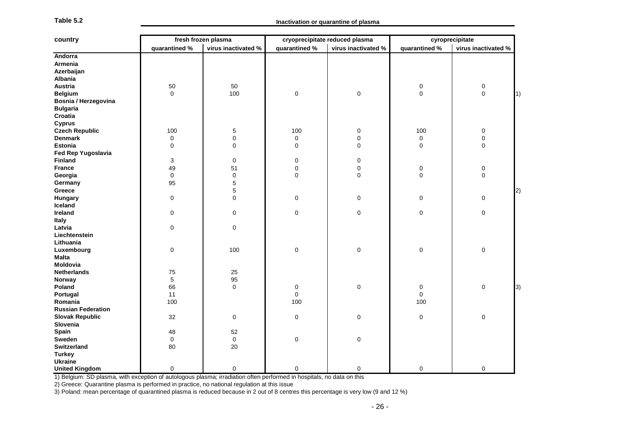| Table 5. |  |
|----------|--|
|----------|--|

| country                                                                                                                            |               | fresh frozen plasma |               | cryoprecipitate reduced plasma |               | cyroprecipitate     |
|------------------------------------------------------------------------------------------------------------------------------------|---------------|---------------------|---------------|--------------------------------|---------------|---------------------|
|                                                                                                                                    | quarantined % | virus inactivated % | quarantined % | virus inactivated %            | quarantined % | virus inactivated % |
| Andorra                                                                                                                            |               |                     |               |                                |               |                     |
| Armenia                                                                                                                            |               |                     |               |                                |               |                     |
| Azerbaijan                                                                                                                         |               |                     |               |                                |               |                     |
| <b>Albania</b>                                                                                                                     |               |                     |               |                                |               |                     |
| <b>Austria</b>                                                                                                                     | 50            | 50                  |               |                                | 0             | $\mathbf 0$         |
| <b>Belgium</b>                                                                                                                     | 0             | 100                 | 0             | 0                              | 0             | $\mathbf 0$         |
| Bosnia / Herzegovina                                                                                                               |               |                     |               |                                |               |                     |
| <b>Bulgaria</b>                                                                                                                    |               |                     |               |                                |               |                     |
| Croatia                                                                                                                            |               |                     |               |                                |               |                     |
| <b>Cyprus</b>                                                                                                                      |               |                     |               |                                |               |                     |
| <b>Czech Republic</b>                                                                                                              | 100           | 5                   | 100           | 0                              | 100           | $\mathbf 0$         |
| <b>Denmark</b>                                                                                                                     | 0             | 0                   | 0             | $\mathbf 0$                    | 0             | 0                   |
| <b>Estonia</b>                                                                                                                     | 0             | 0                   | 0             | 0                              | $\mathbf 0$   | $\mathbf 0$         |
| Fed Rep Yugoslavia                                                                                                                 |               |                     |               |                                |               |                     |
| <b>Finland</b>                                                                                                                     | 3             | 0                   | 0             | 0                              |               |                     |
| <b>France</b>                                                                                                                      | 49            | 51                  | 0             | 0                              | 0             | 0                   |
| Georgia                                                                                                                            | 0             | 0                   | 0             | 0                              | 0             | 0                   |
| Germany                                                                                                                            | 95            | 5                   |               |                                |               |                     |
| Greece                                                                                                                             |               | 5                   |               |                                |               |                     |
| Hungary                                                                                                                            | 0             | 0                   | 0             | 0                              | 0             | 0                   |
| Iceland                                                                                                                            |               |                     |               |                                |               |                     |
| Ireland                                                                                                                            | 0             | 0                   | 0             | 0                              | 0             | 0                   |
| Italy                                                                                                                              |               |                     |               |                                |               |                     |
| Latvia                                                                                                                             | 0             | 0                   |               |                                |               |                     |
| Liechtenstein                                                                                                                      |               |                     |               |                                |               |                     |
| Lithuania                                                                                                                          |               |                     |               |                                |               |                     |
| Luxembourg                                                                                                                         | 0             | 100                 | 0             | $\mathbf 0$                    | $\mathbf 0$   | 0                   |
| Malta                                                                                                                              |               |                     |               |                                |               |                     |
| Moldovia                                                                                                                           |               |                     |               |                                |               |                     |
| <b>Netherlands</b>                                                                                                                 | 75            | 25                  |               |                                |               |                     |
| Norway                                                                                                                             | 5             | 95                  |               |                                |               |                     |
| Poland                                                                                                                             | 66            | 0                   | 0             | $\mathbf 0$                    | 0             | 0                   |
| Portugal                                                                                                                           | 11            |                     | 0             |                                | 0             |                     |
| Romania                                                                                                                            | 100           |                     | 100           |                                | 100           |                     |
| <b>Russian Federation</b>                                                                                                          |               |                     |               |                                |               |                     |
| <b>Slovak Republic</b>                                                                                                             | 32            | 0                   | 0             | 0                              | 0             | 0                   |
| Slovenia                                                                                                                           |               |                     |               |                                |               |                     |
| Spain                                                                                                                              | 48            | 52                  |               |                                |               |                     |
| Sweden                                                                                                                             | 0             | 0                   | $\mathbf 0$   | 0                              |               |                     |
| <b>Switzerland</b>                                                                                                                 | 80            | 20                  |               |                                |               |                     |
| <b>Turkey</b>                                                                                                                      |               |                     |               |                                |               |                     |
| <b>Ukraine</b>                                                                                                                     |               |                     |               |                                |               |                     |
| <b>United Kingdom</b>                                                                                                              | 0             | 0                   | 0             | 0                              | 0             | 0                   |
| 1) Belgium: SD plasma, with exception of autologous plasma; irradiation often performed in hospitals, no data on this              |               |                     |               |                                |               |                     |
| 2) Greece: Quarantine plasma is performed in practice, no national regulation at this issue                                        |               |                     |               |                                |               |                     |
| 3) Poland: mean percentage of quarantined plasma is reduced because in 2 out of 8 centres this percentage is very low (9 and 12 %) |               |                     |               |                                |               |                     |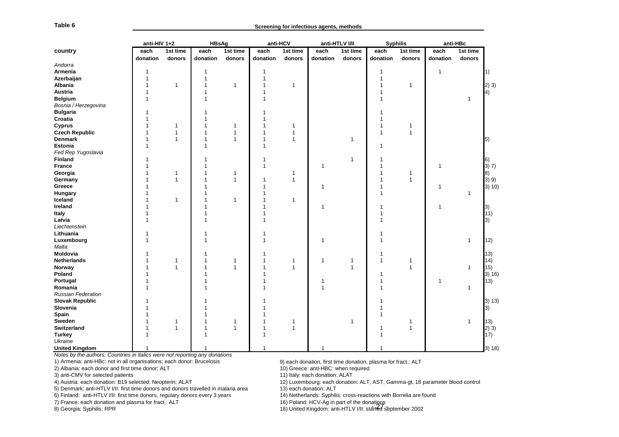| Table 6                                                                            | Screening for infectious agents, methods |                    |                  |                    |                  |                    |                                             |                    |                                                                    |                    |                                                                               |                    |            |
|------------------------------------------------------------------------------------|------------------------------------------|--------------------|------------------|--------------------|------------------|--------------------|---------------------------------------------|--------------------|--------------------------------------------------------------------|--------------------|-------------------------------------------------------------------------------|--------------------|------------|
|                                                                                    | anti-HIV 1+2                             |                    | <b>HBsAg</b>     |                    |                  | anti-HCV           |                                             | anti-HTLV I/II     | <b>Syphilis</b>                                                    |                    | anti-HBc                                                                      |                    |            |
| country                                                                            | each<br>donation                         | 1st time<br>donors | each<br>donation | 1st time<br>donors | each<br>donation | 1st time<br>donors | each<br>donation                            | 1st time<br>donors | each<br>donation                                                   | 1st time<br>donors | each<br>donation                                                              | 1st time<br>donors |            |
| Andorra                                                                            |                                          |                    |                  |                    |                  |                    |                                             |                    |                                                                    |                    |                                                                               |                    |            |
| Armenia                                                                            |                                          |                    | -1               |                    | 1                |                    |                                             |                    | 1                                                                  |                    | 1                                                                             |                    | $\vert 1)$ |
| Azerbaijan                                                                         |                                          |                    | 1                |                    |                  |                    |                                             |                    |                                                                    |                    |                                                                               |                    |            |
| Albania                                                                            |                                          | -1                 | -1               | 1                  |                  | -1                 |                                             |                    |                                                                    | 1                  |                                                                               |                    | 2) 3)      |
| Austria                                                                            |                                          |                    |                  |                    |                  |                    |                                             |                    |                                                                    |                    |                                                                               |                    | 4)         |
| <b>Belgium</b>                                                                     |                                          |                    |                  |                    |                  |                    |                                             |                    |                                                                    |                    |                                                                               | $\mathbf{1}$       |            |
| Bosnia / Herzegovina                                                               |                                          |                    |                  |                    |                  |                    |                                             |                    |                                                                    |                    |                                                                               |                    |            |
| <b>Bulgaria</b>                                                                    |                                          |                    |                  |                    |                  |                    |                                             |                    |                                                                    |                    |                                                                               |                    |            |
| Croatia                                                                            |                                          |                    |                  |                    |                  |                    |                                             |                    |                                                                    |                    |                                                                               |                    |            |
| Cyprus                                                                             |                                          | $\mathbf 1$        |                  | 1                  |                  | 1                  |                                             |                    |                                                                    | 1                  |                                                                               |                    |            |
| <b>Czech Republic</b>                                                              |                                          | $\mathbf 1$        | 1                | 1                  |                  | 1                  |                                             |                    |                                                                    | 1                  |                                                                               |                    |            |
| <b>Denmark</b>                                                                     |                                          | $\mathbf{1}$       | -1               | 1                  |                  | $\mathbf{1}$       |                                             | 1                  |                                                                    |                    |                                                                               |                    | 5)         |
| <b>Estonia</b>                                                                     |                                          |                    | 1                |                    | 1                |                    |                                             |                    | 1                                                                  |                    |                                                                               |                    |            |
| Fed Rep Yugoslavia                                                                 |                                          |                    |                  |                    |                  |                    |                                             |                    |                                                                    |                    |                                                                               |                    |            |
|                                                                                    |                                          |                    |                  |                    |                  |                    |                                             | 1                  |                                                                    |                    |                                                                               |                    |            |
| <b>Finland</b>                                                                     |                                          |                    |                  |                    |                  |                    |                                             |                    |                                                                    |                    |                                                                               |                    | 16)        |
| <b>France</b>                                                                      |                                          |                    |                  |                    |                  |                    | 1                                           |                    |                                                                    |                    |                                                                               |                    | 3) 7)      |
| Georgia                                                                            |                                          | -1                 |                  | 1                  |                  | 1                  |                                             |                    |                                                                    | 1                  |                                                                               |                    | 8)         |
| Germany                                                                            |                                          | $\overline{1}$     |                  | 1                  |                  | 1                  |                                             |                    |                                                                    | 1                  |                                                                               |                    | 3) 9)      |
| Greece                                                                             |                                          |                    |                  |                    |                  |                    |                                             |                    |                                                                    |                    | 1                                                                             |                    | 3) 10)     |
| Hungary                                                                            |                                          |                    |                  |                    |                  |                    |                                             |                    |                                                                    |                    |                                                                               | $\mathbf{1}$       |            |
| Iceland                                                                            |                                          | 1                  |                  | 1                  |                  | 1                  |                                             |                    |                                                                    |                    |                                                                               |                    |            |
| Ireland                                                                            |                                          |                    |                  |                    |                  |                    | 1                                           |                    |                                                                    |                    |                                                                               |                    | 3)         |
| Italy                                                                              |                                          |                    |                  |                    |                  |                    |                                             |                    |                                                                    |                    |                                                                               |                    | 11)        |
| Latvia                                                                             |                                          |                    |                  |                    |                  |                    |                                             |                    |                                                                    |                    |                                                                               |                    | 3)         |
| Liechtenstein                                                                      |                                          |                    |                  |                    |                  |                    |                                             |                    |                                                                    |                    |                                                                               |                    |            |
| Lithuania                                                                          |                                          |                    |                  |                    |                  |                    |                                             |                    |                                                                    |                    |                                                                               |                    |            |
| Luxembourg                                                                         |                                          |                    | 1                |                    |                  |                    | 1                                           |                    |                                                                    |                    |                                                                               | 1                  | 12)        |
| Malta                                                                              |                                          |                    |                  |                    |                  |                    |                                             |                    |                                                                    |                    |                                                                               |                    |            |
| Moldovia                                                                           |                                          |                    |                  |                    |                  |                    |                                             |                    |                                                                    |                    |                                                                               |                    | (13)       |
| Netherlands                                                                        |                                          | -1                 |                  | 1                  |                  | 1                  | 1                                           | 1                  | 1                                                                  | 1                  |                                                                               |                    | 14)        |
| Norway                                                                             |                                          | $\mathbf{1}$       |                  | 1                  |                  | $\mathbf{1}$       |                                             | 1                  |                                                                    | 1                  |                                                                               | 1                  | 15)        |
| Poland                                                                             |                                          |                    |                  |                    |                  |                    |                                             |                    |                                                                    |                    |                                                                               |                    | 3) 16      |
| Portugal                                                                           |                                          |                    |                  |                    |                  |                    |                                             |                    |                                                                    |                    | 1                                                                             |                    | 13)        |
| Romania                                                                            |                                          |                    |                  |                    |                  |                    |                                             |                    |                                                                    |                    |                                                                               | 1                  |            |
| <b>Russian Federation</b>                                                          |                                          |                    |                  |                    |                  |                    |                                             |                    |                                                                    |                    |                                                                               |                    |            |
| <b>Slovak Republic</b>                                                             |                                          |                    |                  |                    |                  |                    |                                             |                    |                                                                    |                    |                                                                               |                    | 3) 13)     |
| Slovenia                                                                           |                                          |                    |                  |                    |                  |                    |                                             |                    |                                                                    |                    |                                                                               |                    | 3)         |
| Spain                                                                              |                                          |                    |                  |                    |                  |                    |                                             |                    |                                                                    |                    |                                                                               |                    |            |
| Sweden                                                                             |                                          | 1                  |                  | 1                  |                  | -1                 |                                             | 1                  |                                                                    | 1                  |                                                                               | 1                  | 13)        |
| Switzerland                                                                        |                                          | $\overline{1}$     | -1               | 1                  |                  | $\mathbf{1}$       |                                             |                    |                                                                    | 1                  |                                                                               |                    | 2) 3)      |
| Turkey                                                                             |                                          |                    | 1                |                    |                  |                    |                                             |                    |                                                                    |                    |                                                                               |                    | 17)        |
| Ukraine                                                                            |                                          |                    |                  |                    |                  |                    |                                             |                    |                                                                    |                    |                                                                               |                    |            |
| <b>United Kingdom</b>                                                              | 1                                        |                    |                  |                    |                  |                    | 1                                           |                    |                                                                    |                    |                                                                               |                    | 3) 18      |
|                                                                                    |                                          |                    |                  |                    |                  |                    |                                             |                    |                                                                    |                    |                                                                               |                    |            |
| Notes by the authors: Countries in italics were not reporting any donations        |                                          |                    |                  |                    |                  |                    |                                             |                    |                                                                    |                    |                                                                               |                    |            |
| 1) Armenia: anti-HBc: not in all organisations; each donor: Brucelosis             |                                          |                    |                  |                    |                  |                    |                                             |                    | 9) each donation, first time donation, plasma for fract.: ALT      |                    |                                                                               |                    |            |
| 2) Albania: each donor and first time donor: ALT                                   |                                          |                    |                  |                    |                  |                    | 10) Greece: anti-HBC: when required         |                    |                                                                    |                    |                                                                               |                    |            |
| 3) anti-CMV for selected patients                                                  |                                          |                    |                  |                    |                  |                    | 11) Italy: each donation: ALAT              |                    |                                                                    |                    |                                                                               |                    |            |
| 4) Austria: each donation: B19 selected; Neopterin; ALAT                           |                                          |                    |                  |                    |                  |                    |                                             |                    |                                                                    |                    | 12) Luxembourg: each donation: ALT, AST, Gamma-gt, 18 parameter blood control |                    |            |
| 5) Denmark: anti-HTLV I/II: first time donors and donors travelled in malaria area |                                          |                    |                  |                    |                  |                    | 13) each donation: ALT                      |                    |                                                                    |                    |                                                                               |                    |            |
| 6) Finland: anti-HTLV I/II: first time donors, regulary donors every 3 years       |                                          |                    |                  |                    |                  |                    |                                             |                    | 14) Netherlands: Syphilis: cross-reactions with Borrelia are found |                    |                                                                               |                    |            |
| 7) France: each donation and plasma for fract.: ALT<br>8) Georgia: Syphilis: RPR   |                                          |                    |                  |                    |                  |                    | 16) Poland: HCV-Ag in part of the donatigns |                    | 18) United Kingdom: anti-HTLV I/II: started september 2002         |                    |                                                                               |                    |            |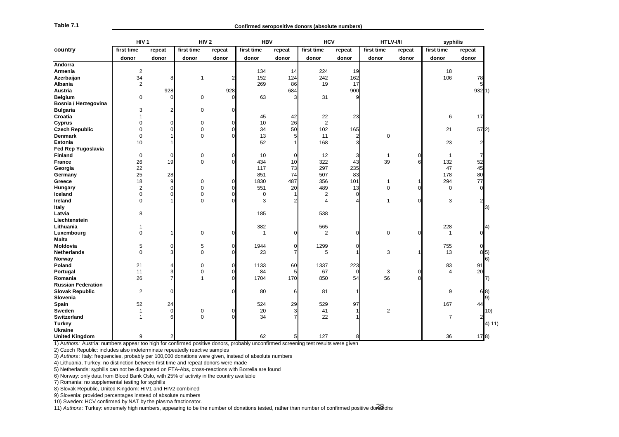| Table 7.1                                                                                                                                         |                  |        |                  |          |                |        | Confirmed seropositive donors (absolute numbers) |                |             |          |                |          |
|---------------------------------------------------------------------------------------------------------------------------------------------------|------------------|--------|------------------|----------|----------------|--------|--------------------------------------------------|----------------|-------------|----------|----------------|----------|
|                                                                                                                                                   | HIV <sub>1</sub> |        | HIV <sub>2</sub> |          | <b>HBV</b>     |        | <b>HCV</b>                                       |                | HTLV-I/II   |          | syphilis       |          |
| country                                                                                                                                           | first time       | repeat | first time       | repeat   | first time     | repeat | first time                                       | repeat         | first time  | repeat   | first time     | repeat   |
|                                                                                                                                                   | donor            | donor  | donor            | donor    | donor          | donor  | donor                                            | donor          | donor       | donor    | donor          | donor    |
| Andorra                                                                                                                                           |                  |        |                  |          |                |        |                                                  |                |             |          |                |          |
| Armenia                                                                                                                                           | $\sqrt{2}$       |        |                  |          | 134            | 14     | 224                                              | 19             |             |          | 18             |          |
| Azerbaijan                                                                                                                                        | 34               | 8      | 1                | 2        | 152            | 124    | 242                                              | 162            |             |          | 106            | 78       |
| Albania                                                                                                                                           | 2                |        |                  |          | 269            | 86     | 19                                               | 17             |             |          |                | 5        |
| Austria                                                                                                                                           |                  | 928    |                  | 928      |                | 684    |                                                  | 900            |             |          |                | 932   1) |
| <b>Belgium</b>                                                                                                                                    | 0                | r      | 0                | $\Omega$ | 63             | 3      | 31                                               | 9              |             |          |                |          |
| Bosnia / Herzegovina                                                                                                                              |                  |        |                  |          |                |        |                                                  |                |             |          |                |          |
| <b>Bulgaria</b>                                                                                                                                   | 3                |        | $\mathbf 0$      |          |                |        |                                                  |                |             |          |                |          |
| Croatia                                                                                                                                           | 1                |        |                  |          | 45             | 42     | 22                                               | 23             |             |          | 6              | 17       |
| Cyprus                                                                                                                                            | $\mathbf 0$      |        | $\mathbf 0$      | O        | 10             | 26     | $\overline{2}$                                   |                |             |          |                |          |
| <b>Czech Republic</b>                                                                                                                             | 0                |        | $\mathbf 0$      | O        | 34             | 50     | 102                                              | 165            |             |          | 21             | 57 2)    |
| <b>Denmark</b>                                                                                                                                    | $\mathbf 0$      |        | 0                |          | 13             | 5      | 11                                               | $\overline{2}$ | 0           |          |                |          |
| <b>Estonia</b>                                                                                                                                    | 10               |        |                  |          | 52             |        | 168                                              | 3              |             |          | 23             |          |
| Fed Rep Yugoslavia                                                                                                                                |                  |        |                  |          |                |        |                                                  |                |             |          |                |          |
| <b>Finland</b>                                                                                                                                    | 0                |        | 0                | O        | 10             | 0      | 12                                               | 3              | -1          | $\Omega$ | -1             |          |
| <b>France</b>                                                                                                                                     | 26               | 19     | $\Omega$         |          | 434            | 10     | 322                                              | 43             | 39          | 6        | 132            | 52       |
| Georgia                                                                                                                                           | 22               |        |                  |          | 117            | 73     | 297                                              | 235            |             |          | 47             | 45       |
| Germany                                                                                                                                           | 25               | 28     |                  |          | 851            | 74     | 507                                              | 83             |             |          | 178            | 80       |
| Greece                                                                                                                                            | 18               |        | 0                |          | 1830           | 487    | 356                                              | 101            | -1          |          | 294            | 77       |
| Hungary                                                                                                                                           | $\overline{2}$   |        | 0                |          | 551            | 20     | 489                                              | 13             | $\mathbf 0$ | O        | 0              |          |
| Iceland                                                                                                                                           | 0                |        | $\mathbf 0$      |          | 0              |        | 2                                                | $\Omega$       |             |          |                |          |
| Ireland                                                                                                                                           | 0                |        | $\Omega$         |          | 3              |        | 4                                                |                | -1          | O        | 3              |          |
| Italy                                                                                                                                             |                  |        |                  |          |                |        |                                                  |                |             |          |                | 3)       |
| Latvia                                                                                                                                            | 8                |        |                  |          | 185            |        | 538                                              |                |             |          |                |          |
| Liechtenstein                                                                                                                                     |                  |        |                  |          |                |        |                                                  |                |             |          |                |          |
| Lithuania                                                                                                                                         | 1                |        |                  |          | 382            |        | 565                                              |                |             |          | 228            | 4)       |
| Luxembourg                                                                                                                                        | 0                |        | 0                | 0        | $\overline{1}$ | O      | 2                                                | $\mathbf 0$    | 0           | 0        | $\overline{1}$ |          |
| Malta                                                                                                                                             |                  |        |                  |          |                |        |                                                  |                |             |          |                |          |
| Moldovia                                                                                                                                          | 5                |        | 5                | O        | 1944           | 0      | 1299                                             | O              |             |          | 755            | 0        |
| <b>Netherlands</b>                                                                                                                                | $\mathbf 0$      |        | $\mathbf 0$      |          | 23             |        | 5                                                |                | 3           |          | 13             | 8 5)     |
| Norway                                                                                                                                            |                  |        |                  |          |                |        |                                                  |                |             |          |                | 6)       |
| Poland                                                                                                                                            | 21               |        | 0                |          | 1133           | 60     | 1337                                             | 223            |             |          | 83             | 91       |
| Portugal                                                                                                                                          | 11               |        | $\mathbf 0$      |          | 84             | 5      | 67                                               | $\Omega$       | 3           | O        | 4              | 20       |
| Romania                                                                                                                                           | 26               |        | 1                |          | 1704           | 170    | 850                                              | 54             | 56          |          |                | 7)       |
| <b>Russian Federation</b>                                                                                                                         |                  |        |                  |          |                |        |                                                  |                |             |          |                |          |
| <b>Slovak Republic</b>                                                                                                                            | 2                |        |                  |          | 80             | 6      | 81                                               | -1             |             |          | 9              | 6 8)     |
| Slovenia                                                                                                                                          |                  |        |                  |          |                |        |                                                  |                |             |          |                | 9)       |
| Spain                                                                                                                                             | 52               | 24     |                  |          | 524            | 29     | 529                                              | 97             |             |          | 167            | 44       |
| Sweden                                                                                                                                            | $\overline{1}$   |        | 0                |          | 20             | 3      | 41                                               |                | 2           |          |                | 10)      |
| Switzerland                                                                                                                                       | $\overline{1}$   |        | $\Omega$         |          | 34             |        | 22                                               |                |             |          | $\overline{7}$ | 2        |
| <b>Turkey</b>                                                                                                                                     |                  |        |                  |          |                |        |                                                  |                |             |          |                | 4) 11)   |
| <b>Ukraine</b>                                                                                                                                    |                  |        |                  |          |                |        |                                                  |                |             |          |                |          |
| <b>United Kingdom</b>                                                                                                                             | 9                |        |                  |          | 62             |        | 127                                              |                |             |          | 36             | 17 8)    |
| 1) Authors: Austria: numbers appear too high for confirmed positive donors, probably unconfirmed screening test results were given                |                  |        |                  |          |                |        |                                                  |                |             |          |                |          |
| 2) Czech Republic: includes also indeterminate repeatedly reactive samples                                                                        |                  |        |                  |          |                |        |                                                  |                |             |          |                |          |
| 3) Authors: Italy: frequencies, probably per 100,000 donations were given, instead of absolute numbers                                            |                  |        |                  |          |                |        |                                                  |                |             |          |                |          |
| 4) Lithuania, Turkey: no distinction between first time and repeat donors were made                                                               |                  |        |                  |          |                |        |                                                  |                |             |          |                |          |
| 5) Netherlands: syphilis can not be diagnosed on FTA-Abs, cross-reactions with Borrelia are found                                                 |                  |        |                  |          |                |        |                                                  |                |             |          |                |          |
| 6) Norway: only data from Blood Bank Oslo, with 25% of activity in the country available                                                          |                  |        |                  |          |                |        |                                                  |                |             |          |                |          |
| 7) Romania: no supplemental testing for syphilis                                                                                                  |                  |        |                  |          |                |        |                                                  |                |             |          |                |          |
| 8) Slovak Republic, United Kingdom: HIV1 and HIV2 combined                                                                                        |                  |        |                  |          |                |        |                                                  |                |             |          |                |          |
| 9) Slovenia: provided percentages instead of absolute numbers                                                                                     |                  |        |                  |          |                |        |                                                  |                |             |          |                |          |
| 10) Sweden: HCV confirmed by NAT by the plasma fractionator.                                                                                      |                  |        |                  |          |                |        |                                                  |                |             |          |                |          |
| 11) Authors: Turkey: extremely high numbers, appearing to be the number of donations tested, rather than number of confirmed positive doritations |                  |        |                  |          |                |        |                                                  |                |             |          |                |          |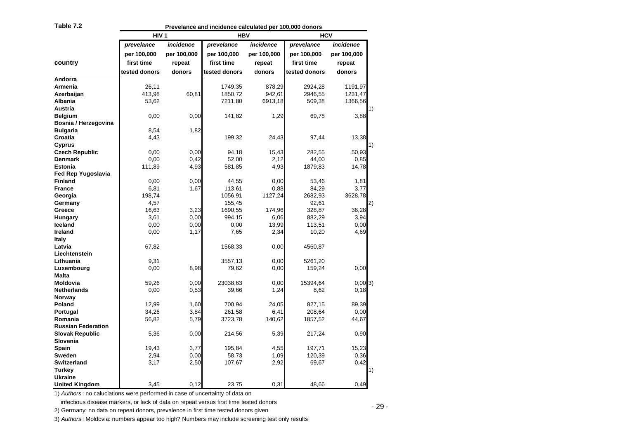| Ш<br>4D. |  |
|----------|--|
|----------|--|

**Prevelance and incidence calculated per 100,000 donors**

|                           | Prevelance and incidence calculated per 100,000 donors |             |               |             |               |             |  |  |  |  |  |  |  |
|---------------------------|--------------------------------------------------------|-------------|---------------|-------------|---------------|-------------|--|--|--|--|--|--|--|
|                           | HIV <sub>1</sub>                                       |             | <b>HBV</b>    |             | <b>HCV</b>    |             |  |  |  |  |  |  |  |
|                           | prevelance                                             | incidence   | prevelance    | incidence   | prevelance    | incidence   |  |  |  |  |  |  |  |
|                           | per 100,000                                            | per 100,000 | per 100,000   | per 100,000 | per 100,000   | per 100,000 |  |  |  |  |  |  |  |
| country                   | first time                                             | repeat      | first time    | repeat      | first time    | repeat      |  |  |  |  |  |  |  |
|                           | tested donors                                          | donors      | tested donors | donors      | tested donors | donors      |  |  |  |  |  |  |  |
| Andorra                   |                                                        |             |               |             |               |             |  |  |  |  |  |  |  |
| Armenia                   | 26,11                                                  |             | 1749,35       | 878,29      | 2924,28       | 1191,97     |  |  |  |  |  |  |  |
| Azerbaijan                | 413,98                                                 | 60,81       | 1850,72       | 942,61      | 2946,55       | 1231,47     |  |  |  |  |  |  |  |
| Albania                   | 53,62                                                  |             | 7211,80       | 6913,18     | 509,38        | 1366,56     |  |  |  |  |  |  |  |
| Austria                   |                                                        |             |               |             |               |             |  |  |  |  |  |  |  |
| <b>Belgium</b>            | 0,00                                                   | 0,00        | 141,82        | 1,29        | 69,78         | 3,88        |  |  |  |  |  |  |  |
| Bosnia / Herzegovina      |                                                        |             |               |             |               |             |  |  |  |  |  |  |  |
| <b>Bulgaria</b>           | 8,54                                                   | 1,82        |               |             |               |             |  |  |  |  |  |  |  |
| Croatia                   | 4,43                                                   |             | 199,32        | 24,43       | 97,44         | 13,38       |  |  |  |  |  |  |  |
| Cyprus                    |                                                        |             |               |             |               |             |  |  |  |  |  |  |  |
| <b>Czech Republic</b>     | 0,00                                                   | 0,00        | 94,18         | 15,43       | 282,55        | 50,93       |  |  |  |  |  |  |  |
| Denmark                   | 0,00                                                   | 0,42        | 52,00         | 2,12        | 44,00         | 0,85        |  |  |  |  |  |  |  |
| Estonia                   | 111,89                                                 | 4,93        | 581,85        | 4,93        | 1879,83       | 14,78       |  |  |  |  |  |  |  |
| Fed Rep Yugoslavia        |                                                        |             |               |             |               |             |  |  |  |  |  |  |  |
| <b>Finland</b>            | 0,00                                                   | 0,00        | 44,55         | 0,00        | 53,46         | 1,81        |  |  |  |  |  |  |  |
| <b>France</b>             | 6,81                                                   | 1,67        | 113,61        | 0,88        | 84,29         | 3,77        |  |  |  |  |  |  |  |
| Georgia                   | 198,74                                                 |             | 1056,91       | 1127,24     | 2682,93       | 3628,78     |  |  |  |  |  |  |  |
| Germany                   | 4,57                                                   |             | 155,45        |             | 92,61         |             |  |  |  |  |  |  |  |
| Greece                    | 16,63                                                  | 3,23        | 1690,55       | 174,96      | 328,87        | 36,28       |  |  |  |  |  |  |  |
| Hungary                   | 3,61                                                   | 0,00        | 994,15        | 6,06        | 882,29        | 3,94        |  |  |  |  |  |  |  |
| <b>Iceland</b>            | 0,00                                                   | 0,00        | 0,00          | 13,99       | 113,51        | 0,00        |  |  |  |  |  |  |  |
| Ireland                   | 0,00                                                   | 1,17        | 7,65          | 2,34        | 10,20         | 4,69        |  |  |  |  |  |  |  |
| Italy                     |                                                        |             |               |             |               |             |  |  |  |  |  |  |  |
| Latvia                    | 67,82                                                  |             | 1568,33       | 0,00        | 4560,87       |             |  |  |  |  |  |  |  |
| Liechtenstein             |                                                        |             |               |             |               |             |  |  |  |  |  |  |  |
| Lithuania                 | 9,31                                                   |             | 3557,13       | 0,00        | 5261,20       |             |  |  |  |  |  |  |  |
| Luxembourg                | 0,00                                                   | 8,98        | 79,62         | 0,00        | 159,24        | 0,00        |  |  |  |  |  |  |  |
| Malta                     |                                                        |             |               |             |               |             |  |  |  |  |  |  |  |
| Moldovia                  | 59,26                                                  | 0,00        | 23038,63      | 0,00        | 15394,64      | $0,00$ 3)   |  |  |  |  |  |  |  |
| <b>Netherlands</b>        | 0,00                                                   | 0,53        | 39,66         | 1,24        | 8,62          | 0, 18       |  |  |  |  |  |  |  |
| Norway                    |                                                        |             |               |             |               |             |  |  |  |  |  |  |  |
| Poland                    | 12,99                                                  | 1,60        | 700,94        | 24,05       | 827,15        | 89,39       |  |  |  |  |  |  |  |
| Portugal                  | 34,26                                                  | 3,84        | 261,58        | 6,41        | 208,64        | 0,00        |  |  |  |  |  |  |  |
| Romania                   | 56,82                                                  | 5,79        | 3723,78       | 140,62      | 1857,52       | 44,67       |  |  |  |  |  |  |  |
| <b>Russian Federation</b> |                                                        |             |               |             |               |             |  |  |  |  |  |  |  |
| Slovak Republic           | 5,36                                                   | 0,00        | 214,56        | 5,39        | 217,24        | 0,90        |  |  |  |  |  |  |  |
| Slovenia                  |                                                        |             |               |             |               |             |  |  |  |  |  |  |  |
| Spain                     | 19,43                                                  | 3,77        | 195,84        | 4,55        | 197,71        | 15,23       |  |  |  |  |  |  |  |
| Sweden                    | 2,94                                                   | 0,00        | 58,73         | 1,09        | 120,39        | 0,36        |  |  |  |  |  |  |  |
| Switzerland               | 3,17                                                   | 2,50        | 107,67        | 2,92        | 69,67         | 0,42        |  |  |  |  |  |  |  |
| Turkey                    |                                                        |             |               |             |               |             |  |  |  |  |  |  |  |
| <b>Ukraine</b>            |                                                        |             |               |             |               |             |  |  |  |  |  |  |  |
| <b>United Kingdom</b>     | 3,45                                                   | 0,12        | 23,75         | 0,31        | 48,66         | 0,49        |  |  |  |  |  |  |  |

3) Authors: Moldovia: numbers appear too high? Numbers may include screening test only results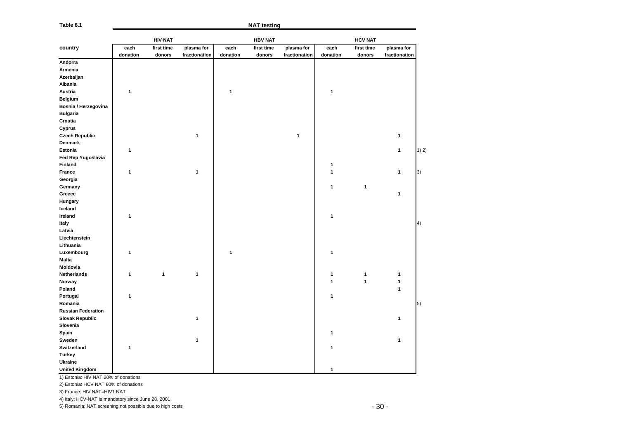| Table 8.1                                                |          | <b>NAT testing</b> |               |          |                |               |          |                |               |       |
|----------------------------------------------------------|----------|--------------------|---------------|----------|----------------|---------------|----------|----------------|---------------|-------|
|                                                          |          | <b>HIV NAT</b>     |               |          | <b>HBV NAT</b> |               |          | <b>HCV NAT</b> |               |       |
| country                                                  | each     | first time         | plasma for    | each     | first time     | plasma for    | each     | first time     | plasma for    |       |
|                                                          | donation | donors             | fractionation | donation | donors         | fractionation | donation | donors         | fractionation |       |
| Andorra                                                  |          |                    |               |          |                |               |          |                |               |       |
| Armenia                                                  |          |                    |               |          |                |               |          |                |               |       |
| Azerbaijan                                               |          |                    |               |          |                |               |          |                |               |       |
| Albania                                                  |          |                    |               |          |                |               |          |                |               |       |
| Austria                                                  | 1        |                    |               | 1        |                |               | 1        |                |               |       |
| <b>Belgium</b>                                           |          |                    |               |          |                |               |          |                |               |       |
| Bosnia / Herzegovina                                     |          |                    |               |          |                |               |          |                |               |       |
| <b>Bulgaria</b>                                          |          |                    |               |          |                |               |          |                |               |       |
| Croatia                                                  |          |                    |               |          |                |               |          |                |               |       |
| Cyprus                                                   |          |                    |               |          |                |               |          |                |               |       |
| <b>Czech Republic</b>                                    |          |                    | 1             |          |                | $\mathbf{1}$  |          |                | 1             |       |
| Denmark                                                  |          |                    |               |          |                |               |          |                |               |       |
| Estonia                                                  | 1        |                    |               |          |                |               |          |                | $\mathbf{1}$  | 1) 2) |
| Fed Rep Yugoslavia                                       |          |                    |               |          |                |               |          |                |               |       |
| Finland                                                  |          |                    |               |          |                |               | 1        |                |               |       |
| France                                                   | 1        |                    | 1             |          |                |               | 1        |                | 1             | 3)    |
| Georgia                                                  |          |                    |               |          |                |               |          |                |               |       |
| Germany                                                  |          |                    |               |          |                |               | 1        | 1              |               |       |
| Greece                                                   |          |                    |               |          |                |               |          |                | 1             |       |
| Hungary                                                  |          |                    |               |          |                |               |          |                |               |       |
| Iceland                                                  |          |                    |               |          |                |               |          |                |               |       |
| Ireland                                                  | 1        |                    |               |          |                |               | 1        |                |               |       |
| Italy                                                    |          |                    |               |          |                |               |          |                |               | 4)    |
| Latvia                                                   |          |                    |               |          |                |               |          |                |               |       |
| Liechtenstein                                            |          |                    |               |          |                |               |          |                |               |       |
| Lithuania                                                |          |                    |               |          |                |               |          |                |               |       |
| Luxembourg                                               | 1        |                    |               | 1        |                |               | 1        |                |               |       |
| <b>Malta</b>                                             |          |                    |               |          |                |               |          |                |               |       |
| Moldovia                                                 |          |                    |               |          |                |               |          |                |               |       |
| Netherlands                                              | 1        | 1                  | 1             |          |                |               | 1        | 1              | 1             |       |
| Norway                                                   |          |                    |               |          |                |               | 1        | 1              | 1             |       |
| Poland                                                   |          |                    |               |          |                |               |          |                | 1             |       |
| Portugal                                                 | 1        |                    |               |          |                |               | 1        |                |               |       |
| Romania                                                  |          |                    |               |          |                |               |          |                |               | 5)    |
| <b>Russian Federation</b>                                |          |                    |               |          |                |               |          |                |               |       |
| <b>Slovak Republic</b>                                   |          |                    | $\mathbf{1}$  |          |                |               |          |                | 1             |       |
| Slovenia                                                 |          |                    |               |          |                |               |          |                |               |       |
| Spain                                                    |          |                    |               |          |                |               | 1        |                |               |       |
| Sweden                                                   |          |                    | 1             |          |                |               |          |                | 1             |       |
| Switzerland                                              | 1        |                    |               |          |                |               | 1        |                |               |       |
| Turkey                                                   |          |                    |               |          |                |               |          |                |               |       |
| Ukraine                                                  |          |                    |               |          |                |               |          |                |               |       |
| <b>United Kingdom</b>                                    |          |                    |               |          |                |               | 1        |                |               |       |
| 1) Estonia: HIV NAT 20% of donations                     |          |                    |               |          |                |               |          |                |               |       |
| 2) Estonia: HCV NAT 80% of donations                     |          |                    |               |          |                |               |          |                |               |       |
| 3) France: HIV NAT=HIV1 NAT                              |          |                    |               |          |                |               |          |                |               |       |
| 4) Italy: HCV-NAT is mandatory since June 28, 2001       |          |                    |               |          |                |               |          |                |               |       |
| 5) Romania: NAT screening not possible due to high costs |          |                    |               |          |                |               |          |                | $-30-$        |       |
|                                                          |          |                    |               |          |                |               |          |                |               |       |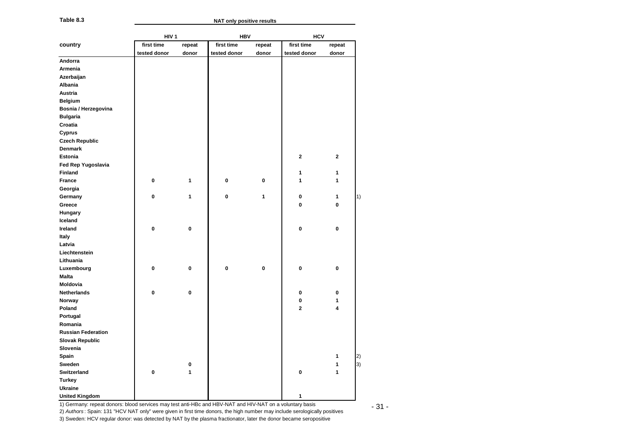### **NAT only positive results**

| Table 8.3                 |                  |        | <b>NAT only positive results</b> |        |              |              |
|---------------------------|------------------|--------|----------------------------------|--------|--------------|--------------|
|                           | HIV <sub>1</sub> |        | <b>HBV</b>                       |        | <b>HCV</b>   |              |
| country                   | first time       | repeat | first time                       | repeat | first time   | repeat       |
|                           | tested donor     | donor  | tested donor                     | donor  | tested donor | donor        |
| Andorra                   |                  |        |                                  |        |              |              |
| Armenia                   |                  |        |                                  |        |              |              |
| Azerbaijan                |                  |        |                                  |        |              |              |
| Albania                   |                  |        |                                  |        |              |              |
| Austria                   |                  |        |                                  |        |              |              |
| <b>Belgium</b>            |                  |        |                                  |        |              |              |
| Bosnia / Herzegovina      |                  |        |                                  |        |              |              |
| <b>Bulgaria</b>           |                  |        |                                  |        |              |              |
| Croatia                   |                  |        |                                  |        |              |              |
| Cyprus                    |                  |        |                                  |        |              |              |
| <b>Czech Republic</b>     |                  |        |                                  |        |              |              |
| <b>Denmark</b>            |                  |        |                                  |        |              |              |
| <b>Estonia</b>            |                  |        |                                  |        | $\mathbf{2}$ | $\mathbf{2}$ |
| Fed Rep Yugoslavia        |                  |        |                                  |        |              |              |
| <b>Finland</b>            |                  |        |                                  |        | 1            | 1            |
| France                    | 0                | 1      | 0                                | 0      | $\mathbf{1}$ | 1            |
| Georgia                   |                  |        |                                  |        |              |              |
| Germany                   | 0                | 1      | 0                                | 1      | 0            | 1            |
| Greece                    |                  |        |                                  |        | 0            | 0            |
| Hungary                   |                  |        |                                  |        |              |              |
| Iceland                   |                  |        |                                  |        |              |              |
| Ireland                   | 0                | 0      |                                  |        | 0            | 0            |
| Italy                     |                  |        |                                  |        |              |              |
| Latvia                    |                  |        |                                  |        |              |              |
| Liechtenstein             |                  |        |                                  |        |              |              |
| Lithuania                 |                  |        |                                  |        |              |              |
| Luxembourg                | 0                | 0      | 0                                | 0      | 0            | 0            |
| <b>Malta</b>              |                  |        |                                  |        |              |              |
| Moldovia                  |                  |        |                                  |        |              |              |
| Netherlands               | 0                | 0      |                                  |        | 0            | 0            |
| Norway                    |                  |        |                                  |        | 0            | 1            |
| Poland                    |                  |        |                                  |        | $\mathbf{2}$ | 4            |
| Portugal                  |                  |        |                                  |        |              |              |
| Romania                   |                  |        |                                  |        |              |              |
| <b>Russian Federation</b> |                  |        |                                  |        |              |              |
|                           |                  |        |                                  |        |              |              |
| <b>Slovak Republic</b>    |                  |        |                                  |        |              |              |
| Slovenia                  |                  |        |                                  |        |              |              |
| Spain                     |                  |        |                                  |        |              | 1            |
| Sweden                    |                  | 0      |                                  |        |              | 1            |
| Switzerland               | 0                | 1      |                                  |        | 0            | 1            |
| Turkey                    |                  |        |                                  |        |              |              |
| Ukraine                   |                  |        |                                  |        |              |              |
| <b>United Kingdom</b>     |                  |        |                                  |        | 1            |              |

2) *Authors* : Spain: 131 "HCV NAT only" were given in first time donors, the high number may include serologically positives

3) Sweden: HCV regular donor: was detected by NAT by the plasma fractionator, later the donor became seropositive

- 31 -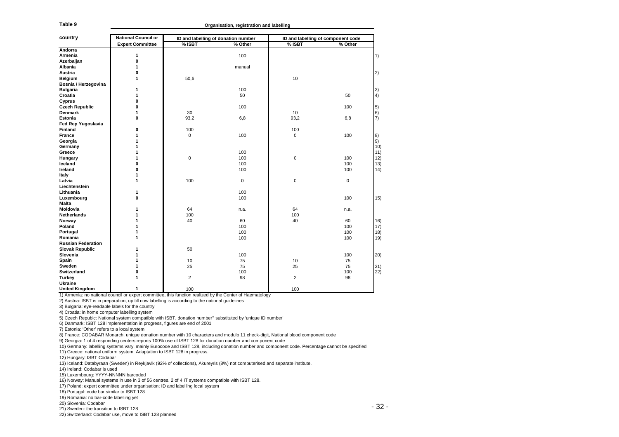**Organisation, registration and labelling**

| Table 9                                          | Organisation, registration and labelling                                                          |                |                                                                                                                             |                                                                                                                                                 |         |  |  |  |  |
|--------------------------------------------------|---------------------------------------------------------------------------------------------------|----------------|-----------------------------------------------------------------------------------------------------------------------------|-------------------------------------------------------------------------------------------------------------------------------------------------|---------|--|--|--|--|
|                                                  |                                                                                                   |                |                                                                                                                             |                                                                                                                                                 |         |  |  |  |  |
| country                                          | <b>National Council or</b>                                                                        | % ISBT         | ID and labelling of donation number<br>% Other                                                                              | ID and labelling of component code<br>$%$ ISBT                                                                                                  | % Other |  |  |  |  |
| Andorra                                          | <b>Expert Committee</b>                                                                           |                |                                                                                                                             |                                                                                                                                                 |         |  |  |  |  |
| Armenia                                          | 1                                                                                                 |                | 100                                                                                                                         |                                                                                                                                                 |         |  |  |  |  |
| Azerbaijan                                       | 0                                                                                                 |                |                                                                                                                             |                                                                                                                                                 |         |  |  |  |  |
| Albania                                          | 1                                                                                                 |                | manual                                                                                                                      |                                                                                                                                                 |         |  |  |  |  |
| Austria                                          | 0                                                                                                 |                |                                                                                                                             |                                                                                                                                                 |         |  |  |  |  |
| Belgium                                          | 1                                                                                                 | 50,6           |                                                                                                                             | 10                                                                                                                                              |         |  |  |  |  |
| Bosnia / Herzegovina                             |                                                                                                   |                |                                                                                                                             |                                                                                                                                                 |         |  |  |  |  |
|                                                  | 1                                                                                                 |                | 100                                                                                                                         |                                                                                                                                                 |         |  |  |  |  |
| <b>Bulgaria</b><br>Croatia                       | 1                                                                                                 |                | 50                                                                                                                          |                                                                                                                                                 | 50      |  |  |  |  |
|                                                  | 0                                                                                                 |                |                                                                                                                             |                                                                                                                                                 |         |  |  |  |  |
| Cyprus                                           |                                                                                                   |                |                                                                                                                             |                                                                                                                                                 |         |  |  |  |  |
| Czech Republic                                   | 0                                                                                                 |                | 100                                                                                                                         |                                                                                                                                                 | 100     |  |  |  |  |
| Denmark                                          | 1                                                                                                 | 30             |                                                                                                                             | 10                                                                                                                                              |         |  |  |  |  |
| Estonia                                          | 0                                                                                                 | 93,2           | 6,8                                                                                                                         | 93,2                                                                                                                                            | 6,8     |  |  |  |  |
| <b>Fed Rep Yugoslavia</b>                        |                                                                                                   |                |                                                                                                                             |                                                                                                                                                 |         |  |  |  |  |
| Finland                                          | 0                                                                                                 | 100            |                                                                                                                             | 100                                                                                                                                             |         |  |  |  |  |
| France                                           | 1                                                                                                 | 0              | 100                                                                                                                         | 0                                                                                                                                               | 100     |  |  |  |  |
| Georgia                                          | 1                                                                                                 |                |                                                                                                                             |                                                                                                                                                 |         |  |  |  |  |
| Germany                                          | 1                                                                                                 |                |                                                                                                                             |                                                                                                                                                 |         |  |  |  |  |
| Greece                                           | 1                                                                                                 |                | 100                                                                                                                         |                                                                                                                                                 |         |  |  |  |  |
| Hungary                                          | 1                                                                                                 | $\mathbf 0$    | 100                                                                                                                         | 0                                                                                                                                               | 100     |  |  |  |  |
| Iceland                                          | 0                                                                                                 |                | 100                                                                                                                         |                                                                                                                                                 | 100     |  |  |  |  |
| Ireland                                          | 0                                                                                                 |                | 100                                                                                                                         |                                                                                                                                                 | 100     |  |  |  |  |
| Italy                                            | 1                                                                                                 |                |                                                                                                                             |                                                                                                                                                 |         |  |  |  |  |
| Latvia                                           | 1                                                                                                 | 100            | 0                                                                                                                           | 0                                                                                                                                               | 0       |  |  |  |  |
| Liechtenstein                                    |                                                                                                   |                |                                                                                                                             |                                                                                                                                                 |         |  |  |  |  |
|                                                  |                                                                                                   |                |                                                                                                                             |                                                                                                                                                 |         |  |  |  |  |
| Lithuania                                        | 1                                                                                                 |                | 100                                                                                                                         |                                                                                                                                                 |         |  |  |  |  |
| Luxembourg                                       | 0                                                                                                 |                | 100                                                                                                                         |                                                                                                                                                 | 100     |  |  |  |  |
| Malta                                            |                                                                                                   |                |                                                                                                                             |                                                                                                                                                 |         |  |  |  |  |
| Moldovia                                         | 1                                                                                                 | 64             | n.a.                                                                                                                        | 64                                                                                                                                              | n.a.    |  |  |  |  |
| Netherlands                                      | 1                                                                                                 | 100            |                                                                                                                             | 100                                                                                                                                             |         |  |  |  |  |
| Norway                                           | 1                                                                                                 | 40             | 60                                                                                                                          | 40                                                                                                                                              | 60      |  |  |  |  |
| Poland                                           | 1                                                                                                 |                | 100                                                                                                                         |                                                                                                                                                 | 100     |  |  |  |  |
| Portugal                                         | 1                                                                                                 |                | 100                                                                                                                         |                                                                                                                                                 | 100     |  |  |  |  |
| Romania                                          | 1                                                                                                 |                | 100                                                                                                                         |                                                                                                                                                 | 100     |  |  |  |  |
| <b>Russian Federation</b>                        |                                                                                                   |                |                                                                                                                             |                                                                                                                                                 |         |  |  |  |  |
| <b>Slovak Republic</b>                           | 1                                                                                                 | 50             |                                                                                                                             |                                                                                                                                                 |         |  |  |  |  |
| Slovenia                                         | 1                                                                                                 |                | 100                                                                                                                         |                                                                                                                                                 | 100     |  |  |  |  |
| Spain                                            | 1                                                                                                 | 10             | 75                                                                                                                          | 10                                                                                                                                              | 75      |  |  |  |  |
|                                                  |                                                                                                   |                |                                                                                                                             |                                                                                                                                                 |         |  |  |  |  |
| Sweden                                           | 1                                                                                                 | 25             | 75                                                                                                                          | 25                                                                                                                                              | 75      |  |  |  |  |
| Switzerland                                      | 0                                                                                                 |                | 100                                                                                                                         |                                                                                                                                                 | 100     |  |  |  |  |
| Turkey                                           | 1                                                                                                 | $\overline{2}$ | 98                                                                                                                          | $\overline{2}$                                                                                                                                  | 98      |  |  |  |  |
| Ukraine                                          |                                                                                                   |                |                                                                                                                             |                                                                                                                                                 |         |  |  |  |  |
| <b>United Kingdom</b>                            | 1                                                                                                 | 100            |                                                                                                                             | 100                                                                                                                                             |         |  |  |  |  |
|                                                  |                                                                                                   |                | 1) Armenia: no national council or expert committee, this function realized by the Center of Haematology                    |                                                                                                                                                 |         |  |  |  |  |
|                                                  | 2) Austria: ISBT is in preparation, up till now labelling is according to the national guidelines |                |                                                                                                                             |                                                                                                                                                 |         |  |  |  |  |
| 3) Bulgaria: eye-readable labels for the country |                                                                                                   |                |                                                                                                                             |                                                                                                                                                 |         |  |  |  |  |
| 4) Croatia: in home computer labelling system    |                                                                                                   |                |                                                                                                                             |                                                                                                                                                 |         |  |  |  |  |
|                                                  |                                                                                                   |                | 5) Czech Republc: National system compatible with ISBT, donation number" substituted by 'unique ID number'                  |                                                                                                                                                 |         |  |  |  |  |
|                                                  | 6) Danmark: ISBT 128 implementation in progress, figures are end of 2001                          |                |                                                                                                                             |                                                                                                                                                 |         |  |  |  |  |
| 7) Estonia: 'Other' refers to a local system     |                                                                                                   |                |                                                                                                                             |                                                                                                                                                 |         |  |  |  |  |
|                                                  |                                                                                                   |                |                                                                                                                             | 8) France: CODABAR Monarch, unique donation number with 10 characters and modulo 11 check-digit, National blood component code                  |         |  |  |  |  |
|                                                  |                                                                                                   |                | 9) Georgia: 1 of 4 responding centers reports 100% use of ISBT 128 for donation number and component code                   |                                                                                                                                                 |         |  |  |  |  |
|                                                  |                                                                                                   |                |                                                                                                                             | 10) Germany: labelling systems vary, mainly Eurocode and ISBT 128, including donation number and component code. Percentage cannot be specified |         |  |  |  |  |
|                                                  | 11) Greece: national uniform system. Adaptation to ISBT 128 in progress.                          |                |                                                                                                                             |                                                                                                                                                 |         |  |  |  |  |
|                                                  |                                                                                                   |                |                                                                                                                             |                                                                                                                                                 |         |  |  |  |  |
| 12) Hungary: ISBT Codabar                        |                                                                                                   |                |                                                                                                                             |                                                                                                                                                 |         |  |  |  |  |
|                                                  |                                                                                                   |                | 13) Iceland: Databyraan (Sweden) in Reykjavik (92% of collections), Akureyris (8%) not computerised and separate institute. |                                                                                                                                                 |         |  |  |  |  |
| 14) Ireland: Codabar is used                     |                                                                                                   |                |                                                                                                                             |                                                                                                                                                 |         |  |  |  |  |
| 15) Luxembourg: YYYY-NNNNN barcoded              |                                                                                                   |                |                                                                                                                             |                                                                                                                                                 |         |  |  |  |  |
|                                                  | 16) Norway: Manual systems in use in 3 of 56 centres. 2 of 4 IT systems compatible with ISBT 128. |                |                                                                                                                             |                                                                                                                                                 |         |  |  |  |  |
|                                                  | 17) Poland: expert committee under organisation; ID and labelling local system                    |                |                                                                                                                             |                                                                                                                                                 |         |  |  |  |  |
| 18) Portugal: code bar similar to ISBT 128       |                                                                                                   |                |                                                                                                                             |                                                                                                                                                 |         |  |  |  |  |
| 19) Romania: no bar-code labelling yet           |                                                                                                   |                |                                                                                                                             |                                                                                                                                                 |         |  |  |  |  |
| 20) Slovenia: Codabar                            |                                                                                                   |                |                                                                                                                             |                                                                                                                                                 |         |  |  |  |  |
| 21) Sweden: the transition to ISBT 128           |                                                                                                   |                |                                                                                                                             |                                                                                                                                                 | - 32    |  |  |  |  |

22) Switzerland: Codabar use, move to ISBT 128 planned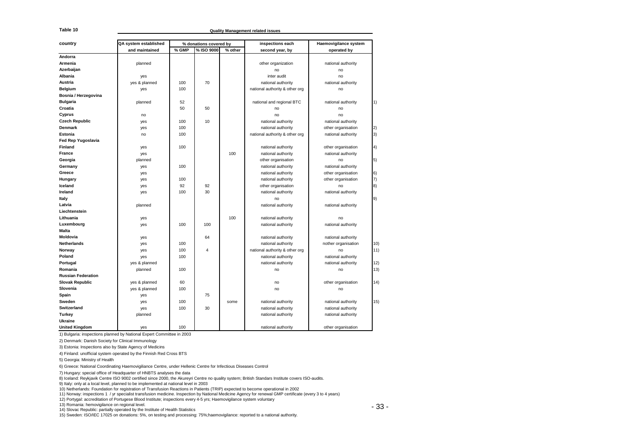**Quality Management related issues**

| Table 10                                                                                                                        |                       |       |                        |         | Quality Management related issues                                                                                                                       |                       |      |
|---------------------------------------------------------------------------------------------------------------------------------|-----------------------|-------|------------------------|---------|---------------------------------------------------------------------------------------------------------------------------------------------------------|-----------------------|------|
|                                                                                                                                 |                       |       |                        |         |                                                                                                                                                         |                       |      |
| country                                                                                                                         | QA system established |       | % donations covered by |         | inspections each                                                                                                                                        | Haemovigilance system |      |
|                                                                                                                                 | and maintained        | % GMP | % ISO 9000             | % other | second year, by                                                                                                                                         | operated by           |      |
| Andorra                                                                                                                         |                       |       |                        |         |                                                                                                                                                         |                       |      |
| Armenia                                                                                                                         | planned               |       |                        |         | other organization                                                                                                                                      | national authority    |      |
| Azerbaijan                                                                                                                      |                       |       |                        |         | no                                                                                                                                                      | no                    |      |
| Albania                                                                                                                         | yes                   |       |                        |         | inter audit                                                                                                                                             | no                    |      |
| Austria                                                                                                                         | yes & planned         | 100   | 70                     |         | national authority                                                                                                                                      | national authority    |      |
| Belgium                                                                                                                         | yes                   | 100   |                        |         | national authority & other org                                                                                                                          | no                    |      |
| Bosnia / Herzegovina                                                                                                            |                       |       |                        |         |                                                                                                                                                         |                       |      |
| <b>Bulgaria</b>                                                                                                                 | planned               | 52    |                        |         | national and regional BTC                                                                                                                               | national authority    | 1)   |
| Croatia                                                                                                                         |                       | 50    | 50                     |         | no                                                                                                                                                      | no                    |      |
| Cyprus                                                                                                                          | no                    |       |                        |         | no                                                                                                                                                      | no                    |      |
| <b>Czech Republic</b>                                                                                                           | yes                   | 100   | 10                     |         | national authority                                                                                                                                      | national authority    |      |
| Denmark                                                                                                                         | yes                   | 100   |                        |         | national authority                                                                                                                                      | other organisation    |      |
| Estonia                                                                                                                         | no                    | 100   |                        |         | national authority & other org                                                                                                                          | national authority    | 3)   |
| Fed Rep Yugoslavia                                                                                                              |                       |       |                        |         |                                                                                                                                                         |                       |      |
| Finland                                                                                                                         | yes                   | 100   |                        |         | national authority                                                                                                                                      | other organisation    | 4)   |
| France                                                                                                                          | yes                   |       |                        | 100     | national authority                                                                                                                                      | national authority    |      |
| Georgia                                                                                                                         | planned               |       |                        |         | other organisation                                                                                                                                      | no                    | 5)   |
| Germany                                                                                                                         | yes                   | 100   |                        |         | national authority                                                                                                                                      | national authority    |      |
| Greece                                                                                                                          | yes                   |       |                        |         | national authority                                                                                                                                      | other organisation    | 6)   |
| Hungary                                                                                                                         | yes                   | 100   |                        |         | national authority                                                                                                                                      | other organisation    | 7)   |
| Iceland                                                                                                                         | yes                   | 92    | 92                     |         | other organisation                                                                                                                                      | no                    | 8)   |
| Ireland                                                                                                                         | yes                   | 100   | 30                     |         | national authority                                                                                                                                      | national authority    |      |
| Italy                                                                                                                           |                       |       |                        |         | no                                                                                                                                                      |                       | 9)   |
| Latvia                                                                                                                          | planned               |       |                        |         | national authority                                                                                                                                      | national authority    |      |
| Liechtenstein                                                                                                                   |                       |       |                        |         |                                                                                                                                                         |                       |      |
| Lithuania                                                                                                                       | yes                   |       |                        | 100     | national authority                                                                                                                                      | no                    |      |
| Luxembourg                                                                                                                      | yes                   | 100   | 100                    |         | national authority                                                                                                                                      | national authority    |      |
| <b>Malta</b>                                                                                                                    |                       |       |                        |         |                                                                                                                                                         |                       |      |
| Moldovia                                                                                                                        | yes                   |       | 64                     |         | national authority                                                                                                                                      | national authority    |      |
| Netherlands                                                                                                                     | yes                   | 100   |                        |         | national authority                                                                                                                                      | nother organisation   | 10)  |
| Norway                                                                                                                          | yes                   | 100   | $\overline{4}$         |         | national authority & other org                                                                                                                          | no                    | 11)  |
| Poland                                                                                                                          | yes                   | 100   |                        |         | national authority                                                                                                                                      | national authority    |      |
| Portugal                                                                                                                        | yes & planned         |       |                        |         | national authority                                                                                                                                      | national authority    | 12)  |
| Romania                                                                                                                         | planned               | 100   |                        |         | no                                                                                                                                                      | no                    | 13)  |
| <b>Russian Federation</b>                                                                                                       |                       |       |                        |         |                                                                                                                                                         |                       |      |
| <b>Slovak Republic</b>                                                                                                          | yes & planned         | 60    |                        |         | no                                                                                                                                                      | other organisation    | 14)  |
| Slovenia                                                                                                                        | yes & planned         | 100   |                        |         | no                                                                                                                                                      | no                    |      |
| Spain                                                                                                                           | yes                   |       | 75                     |         |                                                                                                                                                         |                       |      |
| Sweden                                                                                                                          | yes                   | 100   |                        | some    | national authority                                                                                                                                      | national authority    | 15)  |
| Switzerland                                                                                                                     | yes                   | 100   | 30                     |         | national authority                                                                                                                                      | national authority    |      |
| <b>Turkey</b>                                                                                                                   | planned               |       |                        |         | national authority                                                                                                                                      | national authority    |      |
| Ukraine                                                                                                                         |                       |       |                        |         |                                                                                                                                                         |                       |      |
| <b>United Kingdom</b>                                                                                                           | ves                   | 100   |                        |         | national authority                                                                                                                                      | other organisation    |      |
| 1) Bulgaria: inspections planned by National Expert Committee in 2003                                                           |                       |       |                        |         |                                                                                                                                                         |                       |      |
| 2) Denmark: Danish Society for Clinical Immunology                                                                              |                       |       |                        |         |                                                                                                                                                         |                       |      |
| 3) Estonia: Inspections also by State Agency of Medicins                                                                        |                       |       |                        |         |                                                                                                                                                         |                       |      |
| 4) Finland: unofficial system operated by the Finnish Red Cross BTS                                                             |                       |       |                        |         |                                                                                                                                                         |                       |      |
| 5) Georgia: Ministry of Health                                                                                                  |                       |       |                        |         |                                                                                                                                                         |                       |      |
| 6) Greece: National Coordinating Haemovigiliance Centre, under Hellenic Centre for Infectious Diseases Control                  |                       |       |                        |         |                                                                                                                                                         |                       |      |
|                                                                                                                                 |                       |       |                        |         |                                                                                                                                                         |                       |      |
| 7) Hungary: special office of Headquarter of HNBTS analyses the data                                                            |                       |       |                        |         | 8) Iceland: Reykjavik Centre ISO 9002 certified since 2000, the Akureyri Centre no quality system; British Standars Institute covers ISO-audits.        |                       |      |
| 9) Italy: only at a local level, planned to be implemented at national level in 2003                                            |                       |       |                        |         |                                                                                                                                                         |                       |      |
| 10) Netherlands: Foundation for registration of Transfusion Reactions in Patients (TRIP) expected to become operational in 2002 |                       |       |                        |         |                                                                                                                                                         |                       |      |
|                                                                                                                                 |                       |       |                        |         | 11) Norway: inspections 1 / yr specialist transfusion medicine. Inspection by National Medicine Agency for renewal GMP certificate (every 3 to 4 years) |                       |      |
| 12) Portygal: accreditation of Portugese Blood Institute; inspections every 4-5 yrs; Haemovigilance system voluntary            |                       |       |                        |         |                                                                                                                                                         |                       |      |
| 13) Romania: hemovigilance on regional level.<br>14) Slovac Republic: partially operated by the Institute of Health Statistics  |                       |       |                        |         |                                                                                                                                                         |                       | - 33 |

15) Sweden: ISO/IEC 17025 on donations: 5%, on testing and processing: 75%;haemovigilance: reported to a national authority.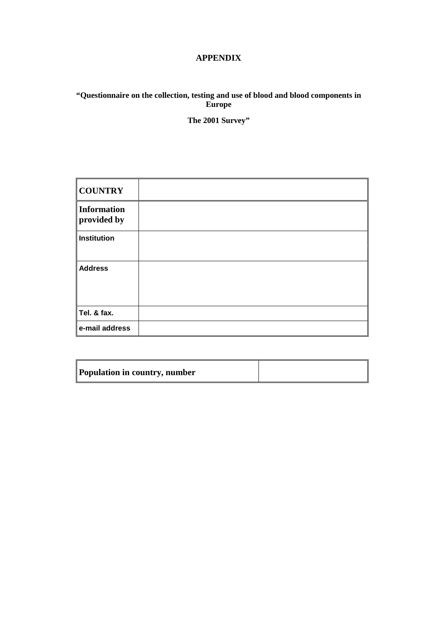### **APPENDIX**

### **"Questionnaire on the collection, testing and use of blood and blood components in Europe**

**The 2001 Survey"** 

| <b>COUNTRY</b>             |  |
|----------------------------|--|
| Information<br>provided by |  |
| Institution                |  |
|                            |  |
| <b>Address</b>             |  |
|                            |  |
|                            |  |
| Tel. & fax.                |  |
| e-mail address             |  |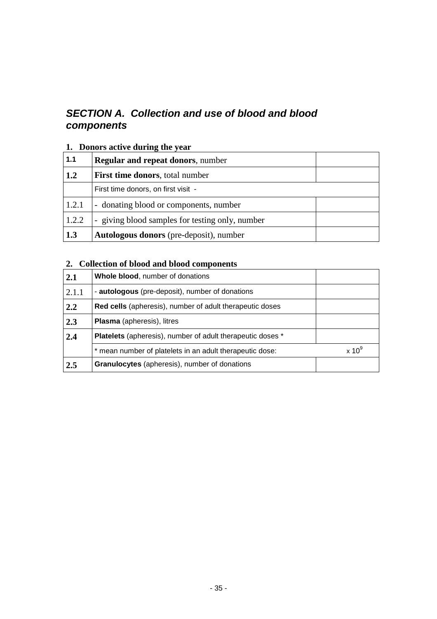# **SECTION A. Collection and use of blood and blood components**

## **1. Donors active during the year**

| 1.1   | <b>Regular and repeat donors, number</b>        |  |
|-------|-------------------------------------------------|--|
| 1.2   | <b>First time donors</b> , total number         |  |
|       | First time donors, on first visit -             |  |
| 1.2.1 | - donating blood or components, number          |  |
| 1.2.2 | - giving blood samples for testing only, number |  |
| 1.3   | <b>Autologous donors</b> (pre-deposit), number  |  |

# **2. Collection of blood and blood components**

| 2.1   | <b>Whole blood, number of donations</b>                           |               |
|-------|-------------------------------------------------------------------|---------------|
| 2.1.1 | - autologous (pre-deposit), number of donations                   |               |
| 2.2   | <b>Red cells</b> (apheresis), number of adult therapeutic doses   |               |
| 2.3   | <b>Plasma</b> (apheresis), litres                                 |               |
| 2.4   | <b>Platelets</b> (apheresis), number of adult therapeutic doses * |               |
|       | mean number of platelets in an adult therapeutic dose:            | $\times 10^9$ |
| 2.5   | Granulocytes (apheresis), number of donations                     |               |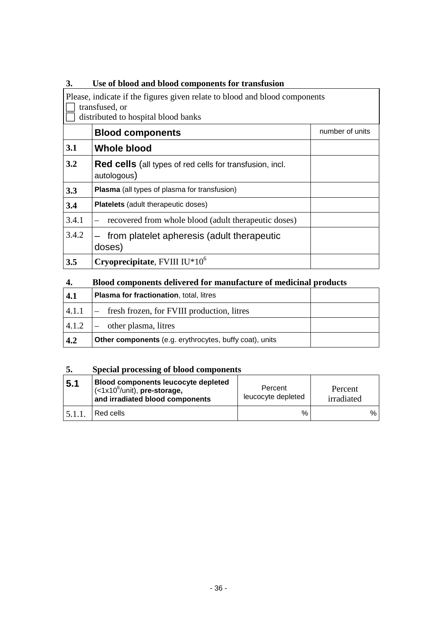| 3.    | Use of blood and blood components for transfusion                                                                                   |                 |  |  |  |  |  |  |
|-------|-------------------------------------------------------------------------------------------------------------------------------------|-----------------|--|--|--|--|--|--|
|       | Please, indicate if the figures given relate to blood and blood components<br>transfused, or<br>distributed to hospital blood banks |                 |  |  |  |  |  |  |
|       | <b>Blood components</b>                                                                                                             | number of units |  |  |  |  |  |  |
| 3.1   | Whole blood                                                                                                                         |                 |  |  |  |  |  |  |
| 3.2   | <b>Red cells</b> (all types of red cells for transfusion, incl.<br>autologous)                                                      |                 |  |  |  |  |  |  |
| 3.3   | Plasma (all types of plasma for transfusion)                                                                                        |                 |  |  |  |  |  |  |
| 3.4   | <b>Platelets</b> (adult therapeutic doses)                                                                                          |                 |  |  |  |  |  |  |
| 3.4.1 | recovered from whole blood (adult therapeutic doses)                                                                                |                 |  |  |  |  |  |  |
| 3.4.2 | from platelet apheresis (adult therapeutic<br>doses)                                                                                |                 |  |  |  |  |  |  |
| 3.5   | Cryoprecipitate, FVIII $IU*10^6$                                                                                                    |                 |  |  |  |  |  |  |

### **4. Blood components delivered for manufacture of medicinal products**

| 4.1 | <b>Plasma for fractionation, total, litres</b>                 |  |
|-----|----------------------------------------------------------------|--|
|     | $ 4.1.1 $ $-$ fresh frozen, for FVIII production, litres       |  |
|     | $ 4.1.2 $ $-$ other plasma, litres                             |  |
| 4.2 | <b>Other components</b> (e.g. erythrocytes, buffy coat), units |  |

## **5. Special processing of blood components**

| 5.1 | <b>Blood components leucocyte depleted</b><br>$\sim$ (<1x10 <sup>6</sup> /unit), pre-storage,<br>and irradiated blood components | Percent<br>leucocyte depleted | Percent<br>irradiated |   |
|-----|----------------------------------------------------------------------------------------------------------------------------------|-------------------------------|-----------------------|---|
|     | Red cells                                                                                                                        | $\%$                          |                       | % |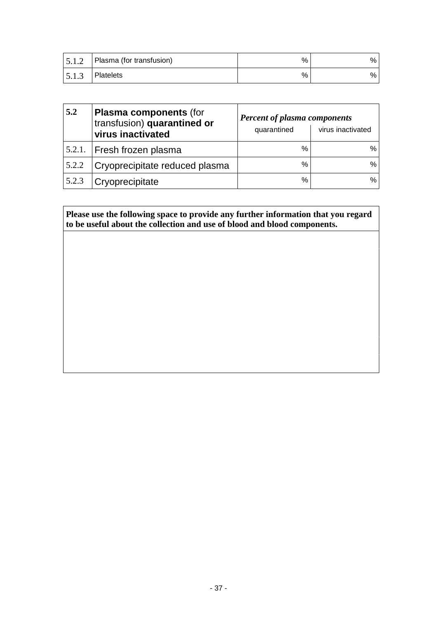| 5.1.2 | Plasma (for transfusion) | % | % . |
|-------|--------------------------|---|-----|
| 5.1.3 | l Platelets              | % | % . |

| 5.2    | <b>Plasma components (for</b><br>transfusion) quarantined or<br>virus inactivated | <b>Percent of plasma components</b><br>quarantined | virus inactivated |
|--------|-----------------------------------------------------------------------------------|----------------------------------------------------|-------------------|
| 5.2.1. | Fresh frozen plasma                                                               | $\%$                                               | $\%$              |
| 5.2.2  | Cryoprecipitate reduced plasma                                                    | %                                                  | $\%$              |
| 5.2.3  | Cryoprecipitate                                                                   | %                                                  | $\%$              |

### **Please use the following space to provide any further information that you regard to be useful about the collection and use of blood and blood components.**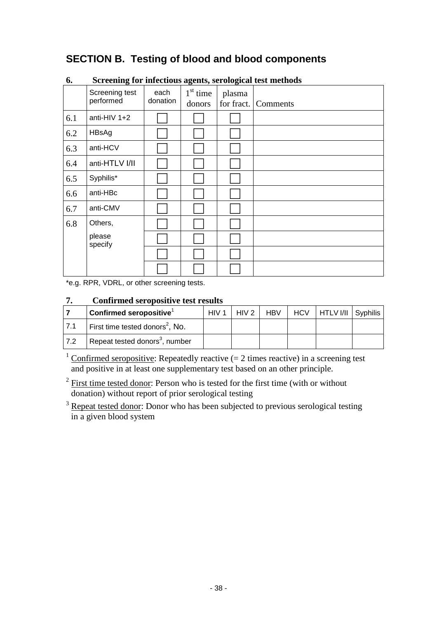# **SECTION B. Testing of blood and blood components**

|     | o                           |                  | o<br>$\overline{\phantom{a}}$ | o                    |          |
|-----|-----------------------------|------------------|-------------------------------|----------------------|----------|
|     | Screening test<br>performed | each<br>donation | $1st$ time<br>donors          | plasma<br>for fract. | Comments |
| 6.1 | anti-HIV $1+2$              |                  |                               |                      |          |
| 6.2 | HBsAg                       |                  |                               |                      |          |
| 6.3 | anti-HCV                    |                  |                               |                      |          |
| 6.4 | anti-HTLV I/II              |                  |                               |                      |          |
| 6.5 | Syphilis*                   |                  |                               |                      |          |
| 6.6 | anti-HBc                    |                  |                               |                      |          |
| 6.7 | anti-CMV                    |                  |                               |                      |          |
| 6.8 | Others,                     |                  |                               |                      |          |
|     | please<br>specify           |                  |                               |                      |          |
|     |                             |                  |                               |                      |          |
|     |                             |                  |                               |                      |          |

### **6. Screening for infectious agents, serological test methods**

\*e.g. RPR, VDRL, or other screening tests.

### **7. Confirmed seropositive test results**

|      | $ $ Confirmed seropositive ${}^{\scriptscriptstyle\mathsf{1}}$ | HIV <sub>1</sub> | HIV <sub>2</sub> | <b>HBV</b> | . HCV | HTLV I/II Syphilis |  |
|------|----------------------------------------------------------------|------------------|------------------|------------|-------|--------------------|--|
| 17.1 | First time tested donors <sup>2</sup> , No.                    |                  |                  |            |       |                    |  |
| 17.2 | Repeat tested donors <sup>3</sup> , number                     |                  |                  |            |       |                    |  |

 $\frac{1}{1}$  Confirmed seropositive: Repeatedly reactive (= 2 times reactive) in a screening test and positive in at least one supplementary test based on an other principle.

 $2$  First time tested donor: Person who is tested for the first time (with or without donation) without report of prior serological testing

<sup>3</sup> Repeat tested donor: Donor who has been subjected to previous serological testing in a given blood system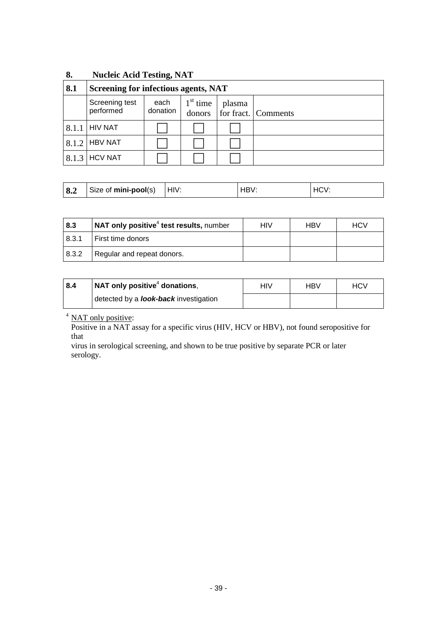| 8.    | <b>Nucleic Acid Testing, NAT</b>     |                  |                      |        |                     |  |  |
|-------|--------------------------------------|------------------|----------------------|--------|---------------------|--|--|
| 8.1   | Screening for infectious agents, NAT |                  |                      |        |                     |  |  |
|       | Screening test<br>performed          | each<br>donation | $1st$ time<br>donors | plasma | for fract. Comments |  |  |
| 8.1.1 | <b>HIV NAT</b>                       |                  |                      |        |                     |  |  |
| 8.1.2 | <b>HBV NAT</b>                       |                  |                      |        |                     |  |  |
| 8.1.3 | <b>HCV NAT</b>                       |                  |                      |        |                     |  |  |

| 8.2 | Size of mini-pool(s) | HIV: |  |  |
|-----|----------------------|------|--|--|
|-----|----------------------|------|--|--|

| 8.3   | $\mathsf{I}$ NAT only positive <sup>4</sup> test results, number | HIV | HBV | HCV |
|-------|------------------------------------------------------------------|-----|-----|-----|
| 8.3.1 | First time donors                                                |     |     |     |
| 8.3.2 | Regular and repeat donors.                                       |     |     |     |

| 8.4 | $\vert$ NAT only positive <sup>4</sup> donations, | HIV | HBV | HCV |  |
|-----|---------------------------------------------------|-----|-----|-----|--|
|     | detected by a <b>look-back</b> investigation      |     |     |     |  |

<sup>4</sup> NAT only positive:

Positive in a NAT assay for a specific virus (HIV, HCV or HBV), not found seropositive for that

virus in serological screening, and shown to be true positive by separate PCR or later serology.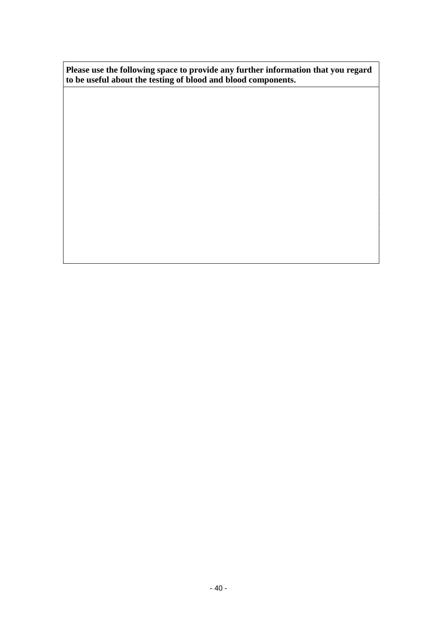**Please use the following space to provide any further information that you regard to be useful about the testing of blood and blood components.**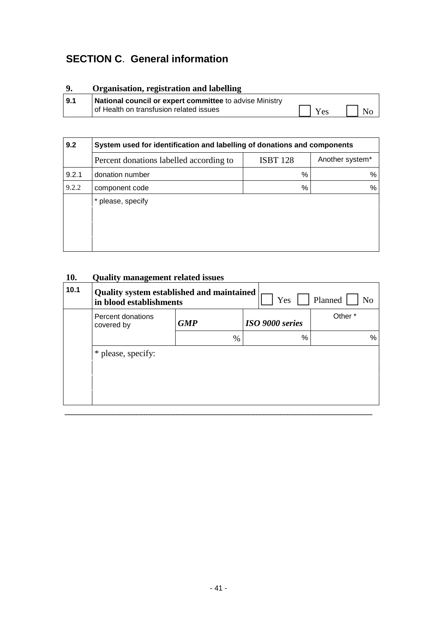# **SECTION C**. **General information**

# **9. Organisation, registration and labelling 9.1 National council or expert committee** to advise Ministry of Health on transfusion related issues  $\begin{array}{ccc} \hline \text{ } & \text{Yes} & \text{ } \text{ } \text{No} \end{array}$

| System used for identification and labelling of donations and components |                 |                 |  |  |  |  |  |  |
|--------------------------------------------------------------------------|-----------------|-----------------|--|--|--|--|--|--|
| Percent donations labelled according to                                  | <b>ISBT 128</b> | Another system* |  |  |  |  |  |  |
| donation number                                                          | $\%$            | %               |  |  |  |  |  |  |
| component code                                                           | $\%$            | ℅               |  |  |  |  |  |  |
| * please, specify                                                        |                 |                 |  |  |  |  |  |  |
|                                                                          |                 |                 |  |  |  |  |  |  |
|                                                                          |                 |                 |  |  |  |  |  |  |
|                                                                          |                 |                 |  |  |  |  |  |  |
|                                                                          |                 |                 |  |  |  |  |  |  |

# **10. Quality management related issues**

| 10.1 | Quality system established and maintained<br>in blood establishments |            |               | Yes             |      | Planned            |
|------|----------------------------------------------------------------------|------------|---------------|-----------------|------|--------------------|
|      | Percent donations<br>covered by                                      | <b>GMP</b> |               | ISO 9000 series |      | Other <sup>*</sup> |
|      |                                                                      |            | $\frac{0}{0}$ |                 | $\%$ |                    |
|      | * please, specify:                                                   |            |               |                 |      |                    |
|      |                                                                      |            |               |                 |      |                    |
|      |                                                                      |            |               |                 |      |                    |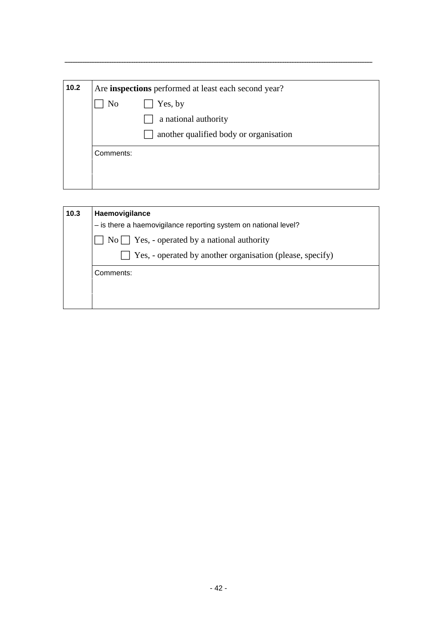| No        | Yes, by                                |
|-----------|----------------------------------------|
|           |                                        |
|           | a national authority                   |
|           | another qualified body or organisation |
| Comments: |                                        |

| Haemovigilance                                                  |
|-----------------------------------------------------------------|
| - is there a haemovigilance reporting system on national level? |
| $No \frown Yes$ , - operated by a national authority            |
| Yes, - operated by another organisation (please, specify)       |
| Comments:                                                       |
|                                                                 |
|                                                                 |
|                                                                 |